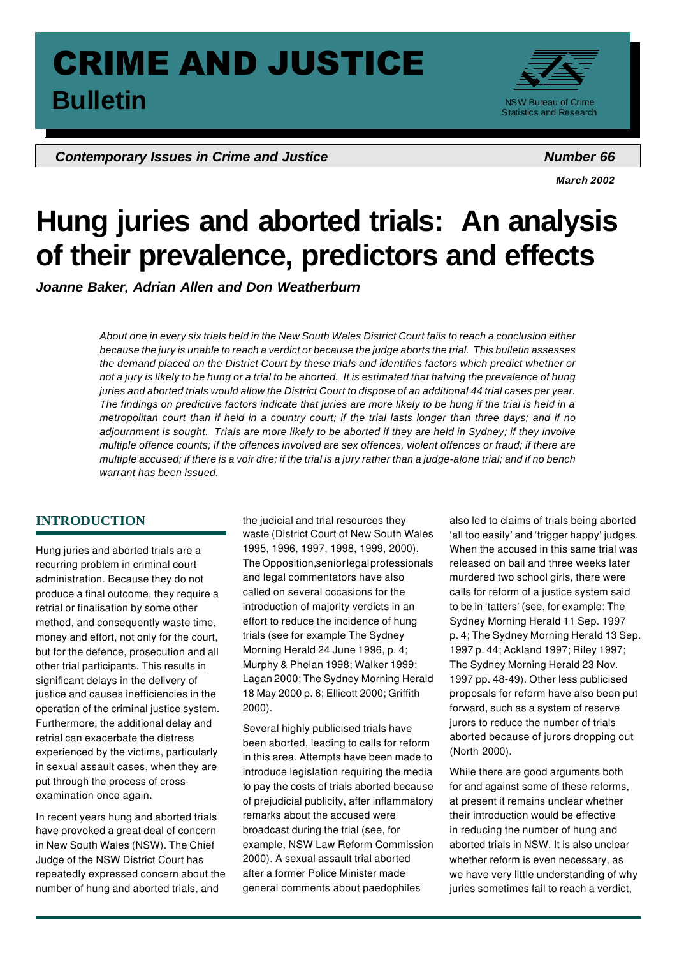# CRIME AND JUSTICE **Bulletin Bulletin NSW Bureau of Crime**

**Contemporary Issues in Crime and Justice Number 66** *Number 66* 



*March 2002* 

# **Hung juries and aborted trials: An analysis of their prevalence, predictors and effects**

*Joanne Baker, Adrian Allen and Don Weatherburn* 

*About one in every six trials held in the New South Wales District Court fails to reach a conclusion either because the jury is unable to reach a verdict or because the judge aborts the trial. This bulletin assesses the demand placed on the District Court by these trials and identifies factors which predict whether or not a jury is likely to be hung or a trial to be aborted. It is estimated that halving the prevalence of hung juries and aborted trials would allow the District Court to dispose of an additional 44 trial cases per year. The findings on predictive factors indicate that juries are more likely to be hung if the trial is held in a metropolitan court than if held in a country court; if the trial lasts longer than three days; and if no adjournment is sought. Trials are more likely to be aborted if they are held in Sydney; if they involve multiple offence counts; if the offences involved are sex offences, violent offences or fraud; if there are multiple accused; if there is a voir dire; if the trial is a jury rather than a judge-alone trial; and if no bench warrant has been issued.* 

# **INTRODUCTION**

Hung juries and aborted trials are a recurring problem in criminal court administration. Because they do not produce a final outcome, they require a retrial or finalisation by some other method, and consequently waste time, money and effort, not only for the court, but for the defence, prosecution and all other trial participants. This results in significant delays in the delivery of justice and causes inefficiencies in the operation of the criminal justice system. Furthermore, the additional delay and retrial can exacerbate the distress experienced by the victims, particularly in sexual assault cases, when they are put through the process of crossexamination once again.

In recent years hung and aborted trials have provoked a great deal of concern in New South Wales (NSW). The Chief Judge of the NSW District Court has repeatedly expressed concern about the number of hung and aborted trials, and

 The Opposition,seniorlegalprofessionals Lagan 2000; The Sydney Morning Herald the judicial and trial resources they waste (District Court of New South Wales 1995, 1996, 1997, 1998, 1999, 2000). and legal commentators have also called on several occasions for the introduction of majority verdicts in an effort to reduce the incidence of hung trials (see for example The Sydney Morning Herald 24 June 1996, p. 4; Murphy & Phelan 1998; Walker 1999; 18 May 2000 p. 6; Ellicott 2000; Griffith 2000).

 to pay the costs of trials aborted because Several highly publicised trials have been aborted, leading to calls for reform in this area. Attempts have been made to introduce legislation requiring the media of prejudicial publicity, after inflammatory remarks about the accused were broadcast during the trial (see, for example, NSW Law Reform Commission 2000). A sexual assault trial aborted after a former Police Minister made general comments about paedophiles

**1**

also led to claims of trials being aborted 'all too easily' and 'trigger happy' judges. When the accused in this same trial was released on bail and three weeks later murdered two school girls, there were calls for reform of a justice system said to be in 'tatters' (see, for example: The Sydney Morning Herald 11 Sep. 1997 p. 4; The Sydney Morning Herald 13 Sep. 1997 p. 44; Ackland 1997; Riley 1997; The Sydney Morning Herald 23 Nov. 1997 pp. 48-49). Other less publicised proposals for reform have also been put forward, such as a system of reserve jurors to reduce the number of trials aborted because of jurors dropping out (North 2000).

While there are good arguments both for and against some of these reforms, at present it remains unclear whether their introduction would be effective in reducing the number of hung and aborted trials in NSW. It is also unclear whether reform is even necessary, as we have very little understanding of why juries sometimes fail to reach a verdict,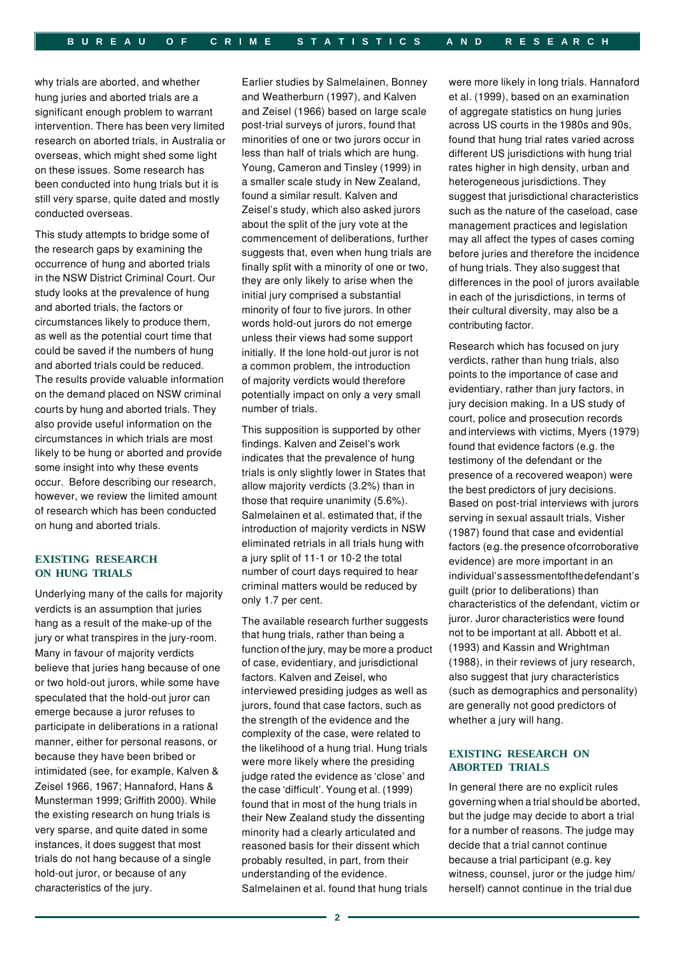why trials are aborted, and whether hung juries and aborted trials are a significant enough problem to warrant intervention. There has been very limited research on aborted trials, in Australia or overseas, which might shed some light on these issues. Some research has been conducted into hung trials but it is still very sparse, quite dated and mostly conducted overseas.

This study attempts to bridge some of the research gaps by examining the occurrence of hung and aborted trials in the NSW District Criminal Court. Our study looks at the prevalence of hung and aborted trials, the factors or circumstances likely to produce them, as well as the potential court time that could be saved if the numbers of hung and aborted trials could be reduced. The results provide valuable information on the demand placed on NSW criminal courts by hung and aborted trials. They also provide useful information on the circumstances in which trials are most likely to be hung or aborted and provide some insight into why these events occur. Before describing our research, however, we review the limited amount of research which has been conducted on hung and aborted trials.

#### **EXISTING RESEARCH ON HUNG TRIALS**

Underlying many of the calls for majority verdicts is an assumption that juries hang as a result of the make-up of the jury or what transpires in the jury-room. Many in favour of majority verdicts believe that juries hang because of one or two hold-out jurors, while some have speculated that the hold-out juror can emerge because a juror refuses to participate in deliberations in a rational manner, either for personal reasons, or because they have been bribed or intimidated (see, for example, Kalven & Zeisel 1966, 1967; Hannaford, Hans & Munsterman 1999; Griffith 2000). While the existing research on hung trials is very sparse, and quite dated in some instances, it does suggest that most trials do not hang because of a single hold-out juror, or because of any characteristics of the jury.

Earlier studies by Salmelainen, Bonney and Weatherburn (1997), and Kalven and Zeisel (1966) based on large scale post-trial surveys of jurors, found that minorities of one or two jurors occur in less than half of trials which are hung. Young, Cameron and Tinsley (1999) in a smaller scale study in New Zealand, found a similar result. Kalven and Zeisel's study, which also asked jurors about the split of the jury vote at the commencement of deliberations, further suggests that, even when hung trials are finally split with a minority of one or two, they are only likely to arise when the initial jury comprised a substantial minority of four to five jurors. In other words hold-out jurors do not emerge unless their views had some support initially. If the lone hold-out juror is not a common problem, the introduction of majority verdicts would therefore potentially impact on only a very small number of trials.

This supposition is supported by other findings. Kalven and Zeisel's work indicates that the prevalence of hung trials is only slightly lower in States that allow majority verdicts (3.2%) than in those that require unanimity (5.6%). Salmelainen et al. estimated that, if the introduction of majority verdicts in NSW eliminated retrials in all trials hung with a jury split of 11-1 or 10-2 the total number of court days required to hear criminal matters would be reduced by only 1.7 per cent.

 function ofthe jury, may be more a product The available research further suggests that hung trials, rather than being a of case, evidentiary, and jurisdictional factors. Kalven and Zeisel, who interviewed presiding judges as well as jurors, found that case factors, such as the strength of the evidence and the complexity of the case, were related to the likelihood of a hung trial. Hung trials were more likely where the presiding judge rated the evidence as 'close' and the case 'difficult'. Young et al. (1999) found that in most of the hung trials in their New Zealand study the dissenting minority had a clearly articulated and reasoned basis for their dissent which probably resulted, in part, from their understanding of the evidence. Salmelainen et al. found that hung trials

were more likely in long trials. Hannaford et al. (1999), based on an examination of aggregate statistics on hung juries across US courts in the 1980s and 90s, found that hung trial rates varied across different US jurisdictions with hung trial rates higher in high density, urban and heterogeneous jurisdictions. They suggest that jurisdictional characteristics such as the nature of the caseload, case management practices and legislation may all affect the types of cases coming before juries and therefore the incidence of hung trials. They also suggest that differences in the pool of jurors available in each of the jurisdictions, in terms of their cultural diversity, may also be a contributing factor.

 factors (e.g.the presence ofcorroborative individual'sassessmentofthedefendant's Research which has focused on jury verdicts, rather than hung trials, also points to the importance of case and evidentiary, rather than jury factors, in jury decision making. In a US study of court, police and prosecution records and interviews with victims, Myers (1979) found that evidence factors (e.g. the testimony of the defendant or the presence of a recovered weapon) were the best predictors of jury decisions. Based on post-trial interviews with jurors serving in sexual assault trials, Visher (1987) found that case and evidential evidence) are more important in an guilt (prior to deliberations) than characteristics of the defendant, victim or juror. Juror characteristics were found not to be important at all. Abbott et al. (1993) and Kassin and Wrightman (1988), in their reviews of jury research, also suggest that jury characteristics (such as demographics and personality) are generally not good predictors of whether a jury will hang.

# **EXISTING RESEARCH ON ABORTED TRIALS**

 governing when a trial should be aborted, In general there are no explicit rules but the judge may decide to abort a trial for a number of reasons. The judge may decide that a trial cannot continue because a trial participant (e.g. key witness, counsel, juror or the judge him/ herself) cannot continue in the trial due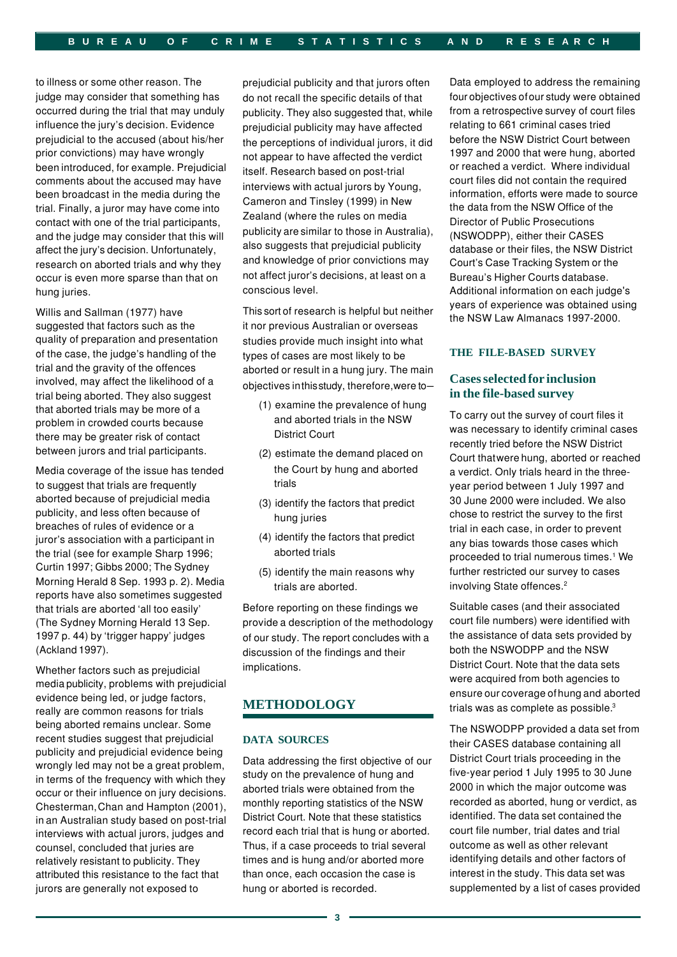to illness or some other reason. The judge may consider that something has occurred during the trial that may unduly influence the jury's decision. Evidence prejudicial to the accused (about his/her prior convictions) may have wrongly been introduced, for example. Prejudicial comments about the accused may have been broadcast in the media during the trial. Finally, a juror may have come into contact with one of the trial participants, and the judge may consider that this will affect the jury's decision. Unfortunately, research on aborted trials and why they occur is even more sparse than that on hung juries.

Willis and Sallman (1977) have suggested that factors such as the quality of preparation and presentation of the case, the judge's handling of the trial and the gravity of the offences involved, may affect the likelihood of a trial being aborted. They also suggest that aborted trials may be more of a problem in crowded courts because there may be greater risk of contact between jurors and trial participants.

Media coverage of the issue has tended to suggest that trials are frequently aborted because of prejudicial media publicity, and less often because of breaches of rules of evidence or a juror's association with a participant in the trial (see for example Sharp 1996; Curtin 1997; Gibbs 2000; The Sydney Morning Herald 8 Sep. 1993 p. 2). Media reports have also sometimes suggested that trials are aborted 'all too easily' (The Sydney Morning Herald 13 Sep. 1997 p. 44) by 'trigger happy' judges (Ackland 1997).

 media publicity, problems with prejudicial Whether factors such as prejudicial evidence being led, or judge factors, really are common reasons for trials being aborted remains unclear. Some recent studies suggest that prejudicial publicity and prejudicial evidence being wrongly led may not be a great problem, in terms of the frequency with which they occur or their influence on jury decisions. Chesterman,Chan and Hampton (2001), in an Australian study based on post-trial interviews with actual jurors, judges and counsel, concluded that juries are relatively resistant to publicity. They attributed this resistance to the fact that jurors are generally not exposed to

 publicity are similar to those in Australia), prejudicial publicity and that jurors often do not recall the specific details of that publicity. They also suggested that, while prejudicial publicity may have affected the perceptions of individual jurors, it did not appear to have affected the verdict itself. Research based on post-trial interviews with actual jurors by Young, Cameron and Tinsley (1999) in New Zealand (where the rules on media also suggests that prejudicial publicity and knowledge of prior convictions may not affect juror's decisions, at least on a conscious level.

 This sort of research is helpful but neither objectives inthisstudy, therefore,were to– it nor previous Australian or overseas studies provide much insight into what types of cases are most likely to be aborted or result in a hung jury. The main

- (1) examine the prevalence of hung and aborted trials in the NSW District Court
- (2) estimate the demand placed on the Court by hung and aborted trials
- (3) identify the factors that predict hung juries
- (4) identify the factors that predict aborted trials
- (5) identify the main reasons why trials are aborted.

Before reporting on these findings we provide a description of the methodology of our study. The report concludes with a discussion of the findings and their implications.

# **METHODOLOGY**

#### **DATA SOURCES**

Data addressing the first objective of our study on the prevalence of hung and aborted trials were obtained from the monthly reporting statistics of the NSW District Court. Note that these statistics record each trial that is hung or aborted. Thus, if a case proceeds to trial several times and is hung and/or aborted more than once, each occasion the case is hung or aborted is recorded.

 four objectives ofour study were obtained Data employed to address the remaining from a retrospective survey of court files relating to 661 criminal cases tried before the NSW District Court between 1997 and 2000 that were hung, aborted or reached a verdict. Where individual court files did not contain the required information, efforts were made to source the data from the NSW Office of the Director of Public Prosecutions (NSWODPP), either their CASES database or their files, the NSW District Court's Case Tracking System or the Bureau's Higher Courts database. Additional information on each judge's years of experience was obtained using the NSW Law Almanacs 1997-2000.

#### **THE FILE-BASED SURVEY**

## **Cases selected for inclusion in the file-based survey**

 Court thatwere hung, aborted or reached To carry out the survey of court files it was necessary to identify criminal cases recently tried before the NSW District a verdict. Only trials heard in the threeyear period between 1 July 1997 and 30 June 2000 were included. We also chose to restrict the survey to the first trial in each case, in order to prevent any bias towards those cases which proceeded to trial numerous times.<sup>1</sup> We further restricted our survey to cases involving State offences.2

 ensure our coverage ofhung and aborted Suitable cases (and their associated court file numbers) were identified with the assistance of data sets provided by both the NSWODPP and the NSW District Court. Note that the data sets were acquired from both agencies to trials was as complete as possible.<sup>3</sup>

The NSWODPP provided a data set from their CASES database containing all District Court trials proceeding in the five-year period 1 July 1995 to 30 June 2000 in which the major outcome was recorded as aborted, hung or verdict, as identified. The data set contained the court file number, trial dates and trial outcome as well as other relevant identifying details and other factors of interest in the study. This data set was supplemented by a list of cases provided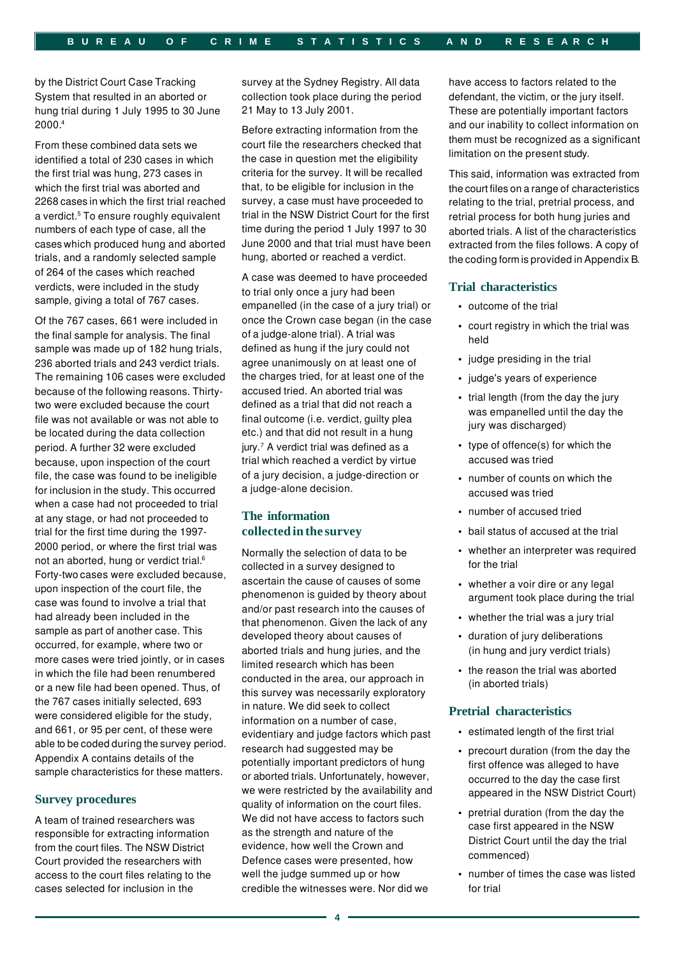2000.4 by the District Court Case Tracking System that resulted in an aborted or hung trial during 1 July 1995 to 30 June

 2268 cases in which the first trial reached From these combined data sets we identified a total of 230 cases in which the first trial was hung, 273 cases in which the first trial was aborted and a verdict.<sup>5</sup> To ensure roughly equivalent numbers of each type of case, all the cases which produced hung and aborted trials, and a randomly selected sample of 264 of the cases which reached verdicts, were included in the study sample, giving a total of 767 cases.

 able to be coded during the survey period. Of the 767 cases, 661 were included in the final sample for analysis. The final sample was made up of 182 hung trials, 236 aborted trials and 243 verdict trials. The remaining 106 cases were excluded because of the following reasons. Thirtytwo were excluded because the court file was not available or was not able to be located during the data collection period. A further 32 were excluded because, upon inspection of the court file, the case was found to be ineligible for inclusion in the study. This occurred when a case had not proceeded to trial at any stage, or had not proceeded to trial for the first time during the 1997 2000 period, or where the first trial was not an aborted, hung or verdict trial.<sup>6</sup> Forty-two cases were excluded because, upon inspection of the court file, the case was found to involve a trial that had already been included in the sample as part of another case. This occurred, for example, where two or more cases were tried jointly, or in cases in which the file had been renumbered or a new file had been opened. Thus, of the 767 cases initially selected, 693 were considered eligible for the study, and 661, or 95 per cent, of these were Appendix A contains details of the sample characteristics for these matters.

#### **Survey procedures**

A team of trained researchers was responsible for extracting information from the court files. The NSW District Court provided the researchers with access to the court files relating to the cases selected for inclusion in the

survey at the Sydney Registry. All data collection took place during the period 21 May to 13 July 2001.

Before extracting information from the court file the researchers checked that the case in question met the eligibility criteria for the survey. It will be recalled that, to be eligible for inclusion in the survey, a case must have proceeded to trial in the NSW District Court for the first time during the period 1 July 1997 to 30 June 2000 and that trial must have been hung, aborted or reached a verdict.

A case was deemed to have proceeded to trial only once a jury had been empanelled (in the case of a jury trial) or once the Crown case began (in the case of a judge-alone trial). A trial was defined as hung if the jury could not agree unanimously on at least one of the charges tried, for at least one of the accused tried. An aborted trial was defined as a trial that did not reach a final outcome (i.e. verdict, guilty plea etc.) and that did not result in a hung jury.<sup>7</sup> A verdict trial was defined as a trial which reached a verdict by virtue of a jury decision, a judge-direction or a judge-alone decision.

# **The information collected in the survey**

Normally the selection of data to be collected in a survey designed to ascertain the cause of causes of some phenomenon is guided by theory about and/or past research into the causes of that phenomenon. Given the lack of any developed theory about causes of aborted trials and hung juries, and the limited research which has been conducted in the area, our approach in this survey was necessarily exploratory in nature. We did seek to collect information on a number of case, evidentiary and judge factors which past research had suggested may be potentially important predictors of hung or aborted trials. Unfortunately, however, we were restricted by the availability and quality of information on the court files. We did not have access to factors such as the strength and nature of the evidence, how well the Crown and Defence cases were presented, how well the judge summed up or how credible the witnesses were. Nor did we

 limitation on the present study. have access to factors related to the defendant, the victim, or the jury itself. These are potentially important factors and our inability to collect information on them must be recognized as a significant

 the court files on a range of characteristics the coding form is provided in Appendix B. This said, information was extracted from relating to the trial, pretrial process, and retrial process for both hung juries and aborted trials. A list of the characteristics extracted from the files follows. A copy of

#### **Trial characteristics**

- outcome of the trial
- court registry in which the trial was held
- judge presiding in the trial
- judge's years of experience
- trial length (from the day the jury was empanelled until the day the jury was discharged)
- type of offence(s) for which the accused was tried
- number of counts on which the accused was tried
- number of accused tried
- bail status of accused at the trial
- whether an interpreter was required for the trial
- whether a voir dire or any legal argument took place during the trial
- whether the trial was a jury trial
- duration of jury deliberations (in hung and jury verdict trials)
- the reason the trial was aborted (in aborted trials)

#### **Pretrial characteristics**

- estimated length of the first trial
- precourt duration (from the day the first offence was alleged to have occurred to the day the case first appeared in the NSW District Court)
- pretrial duration (from the day the case first appeared in the NSW District Court until the day the trial commenced)
- number of times the case was listed for trial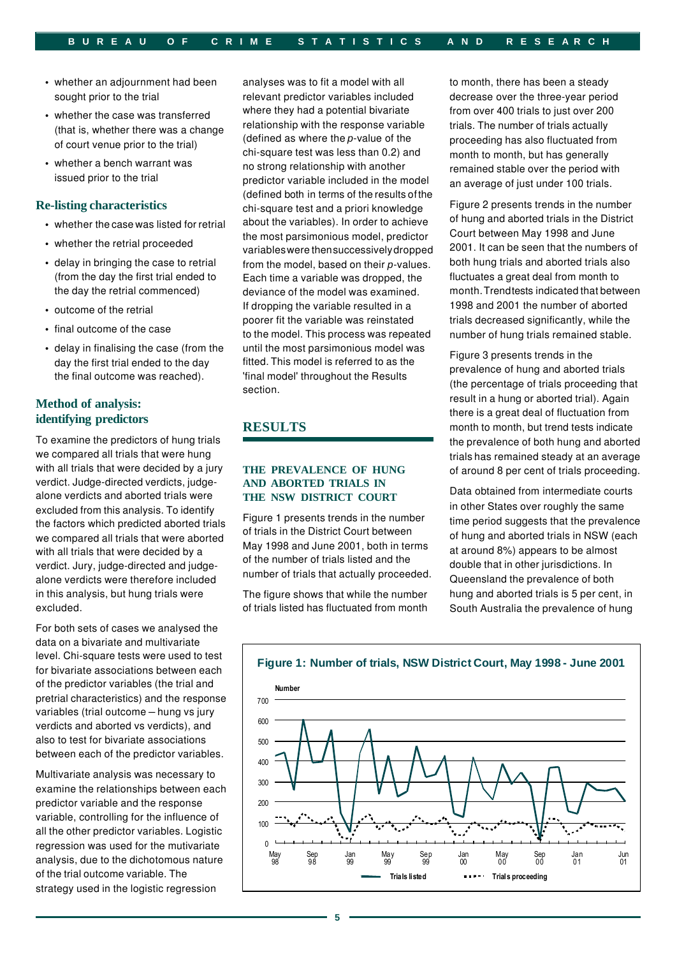- <span id="page-4-0"></span>• whether an adjournment had been sought prior to the trial
- whether the case was transferred (that is, whether there was a change of court venue prior to the trial)
- whether a bench warrant was issued prior to the trial

#### **Re-listing characteristics**

- whether the case was listed for retrial
- whether the retrial proceeded
- delay in bringing the case to retrial (from the day the first trial ended to the day the retrial commenced)
- outcome of the retrial
- final outcome of the case
- delay in finalising the case (from the day the first trial ended to the day the final outcome was reached).

# **Method of analysis: identifying predictors**

To examine the predictors of hung trials we compared all trials that were hung with all trials that were decided by a jury verdict. Judge-directed verdicts, judgealone verdicts and aborted trials were excluded from this analysis. To identify the factors which predicted aborted trials we compared all trials that were aborted with all trials that were decided by a verdict. Jury, judge-directed and judgealone verdicts were therefore included in this analysis, but hung trials were excluded.

For both sets of cases we analysed the data on a bivariate and multivariate level. Chi-square tests were used to test for bivariate associations between each of the predictor variables (the trial and pretrial characteristics) and the response variables (trial outcome – hung vs jury verdicts and aborted vs verdicts), and also to test for bivariate associations between each of the predictor variables.

Multivariate analysis was necessary to examine the relationships between each predictor variable and the response variable, controlling for the influence of all the other predictor variables. Logistic regression was used for the mutivariate analysis, due to the dichotomous nature of the trial outcome variable. The strategy used in the logistic regression

 (defined both in terms of the results ofthe variableswere thensuccessivelydropped analyses was to fit a model with all relevant predictor variables included where they had a potential bivariate relationship with the response variable (defined as where the *p*-value of the chi-square test was less than 0.2) and no strong relationship with another predictor variable included in the model chi-square test and a priori knowledge about the variables). In order to achieve the most parsimonious model, predictor from the model, based on their *p*-values. Each time a variable was dropped, the deviance of the model was examined. If dropping the variable resulted in a poorer fit the variable was reinstated to the model. This process was repeated until the most parsimonious model was fitted. This model is referred to as the 'final model' throughout the Results section.

# **RESULTS**

#### **THE PREVALENCE OF HUNG AND ABORTED TRIALS IN THE NSW DISTRICT COURT**

Figure 1 presents trends in the number of trials in the District Court between May 1998 and June 2001, both in terms of the number of trials listed and the number of trials that actually proceeded.

The figure shows that while the number of trials listed has fluctuated from month to month, there has been a steady decrease over the three-year period from over 400 trials to just over 200 trials. The number of trials actually proceeding has also fluctuated from month to month, but has generally remained stable over the period with an average of just under 100 trials.

 month.Trendtests indicated that between Figure 2 presents trends in the number of hung and aborted trials in the District Court between May 1998 and June 2001. It can be seen that the numbers of both hung trials and aborted trials also fluctuates a great deal from month to 1998 and 2001 the number of aborted trials decreased significantly, while the number of hung trials remained stable.

Figure 3 presents trends in the prevalence of hung and aborted trials (the percentage of trials proceeding that result in a hung or aborted trial). Again there is a great deal of fluctuation from month to month, but trend tests indicate the prevalence of both hung and aborted trials has remained steady at an average of around 8 per cent of trials proceeding.

Data obtained from intermediate courts in other States over roughly the same time period suggests that the prevalence of hung and aborted trials in NSW (each at around 8%) appears to be almost double that in other jurisdictions. In Queensland the prevalence of both hung and aborted trials is 5 per cent, in South Australia the prevalence of hung

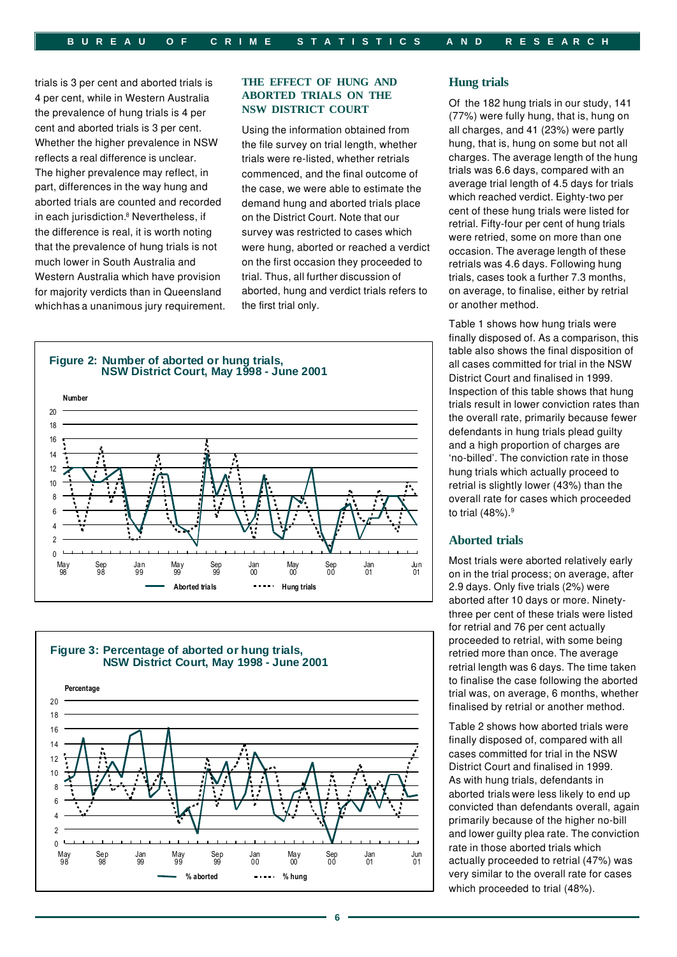trials is 3 per cent and aborted trials is 4 per cent, while in Western Australia the prevalence of hung trials is 4 per cent and aborted trials is 3 per cent. Whether the higher prevalence in NSW reflects a real difference is unclear. The higher prevalence may reflect, in part, differences in the way hung and aborted trials are counted and recorded in each jurisdiction.<sup>8</sup> Nevertheless, if the difference is real, it is worth noting that the prevalence of hung trials is not much lower in South Australia and Western Australia which have provision for majority verdicts than in Queensland which has a unanimous jury requirement.

#### **THE EFFECT OF HUNG AND ABORTED TRIALS ON THE NSW DISTRICT COURT**

Using the information obtained from the file survey on trial length, whether trials were re-listed, whether retrials commenced, and the final outcome of the case, we were able to estimate the demand hung and aborted trials place on the District Court. Note that our survey was restricted to cases which were hung, aborted or reached a verdict on the first occasion they proceeded to trial. Thus, all further discussion of aborted, hung and verdict trials refers to the first trial only.

# **Figure 2: Number of aborted or hung trials, NSW District Court, May <sup>1998</sup> - June <sup>2001</sup>**





#### **Hung trials**

Of the 182 hung trials in our study, 141 (77%) were fully hung, that is, hung on all charges, and 41 (23%) were partly hung, that is, hung on some but not all charges. The average length of the hung trials was 6.6 days, compared with an average trial length of 4.5 days for trials which reached verdict. Eighty-two per cent of these hung trials were listed for retrial. Fifty-four per cent of hung trials were retried, some on more than one occasion. The average length of these retrials was 4.6 days. Following hung trials, cases took a further 7.3 months, on average, to finalise, either by retrial or another method.

Table 1 shows how hung trials were finally disposed of. As a comparison, this table also shows the final disposition of all cases committed for trial in the NSW District Court and finalised in 1999. Inspection of this table shows that hung trials result in lower conviction rates than the overall rate, primarily because fewer defendants in hung trials plead guilty and a high proportion of charges are 'no-billed'. The conviction rate in those hung trials which actually proceed to retrial is slightly lower (43%) than the overall rate for cases which proceeded to trial  $(48%)$ .<sup>9</sup>

# **Aborted trials**

Most trials were aborted relatively early on in the trial process; on average, after 2.9 days. Only five trials (2%) were aborted after 10 days or more. Ninetythree per cent of these trials were listed for retrial and 76 per cent actually proceeded to retrial, with some being retried more than once. The average retrial length was 6 days. The time taken to finalise the case following the aborted trial was, on average, 6 months, whether finalised by retrial or another method.

Table 2 shows how aborted trials were finally disposed of, compared with all cases committed for trial in the NSW District Court and finalised in 1999. As with hung trials, defendants in aborted trials were less likely to end up convicted than defendants overall, again primarily because of the higher no-bill and lower guilty plea rate. The conviction rate in those aborted trials which actually proceeded to retrial (47%) was very similar to the overall rate for cases which proceeded to trial (48%).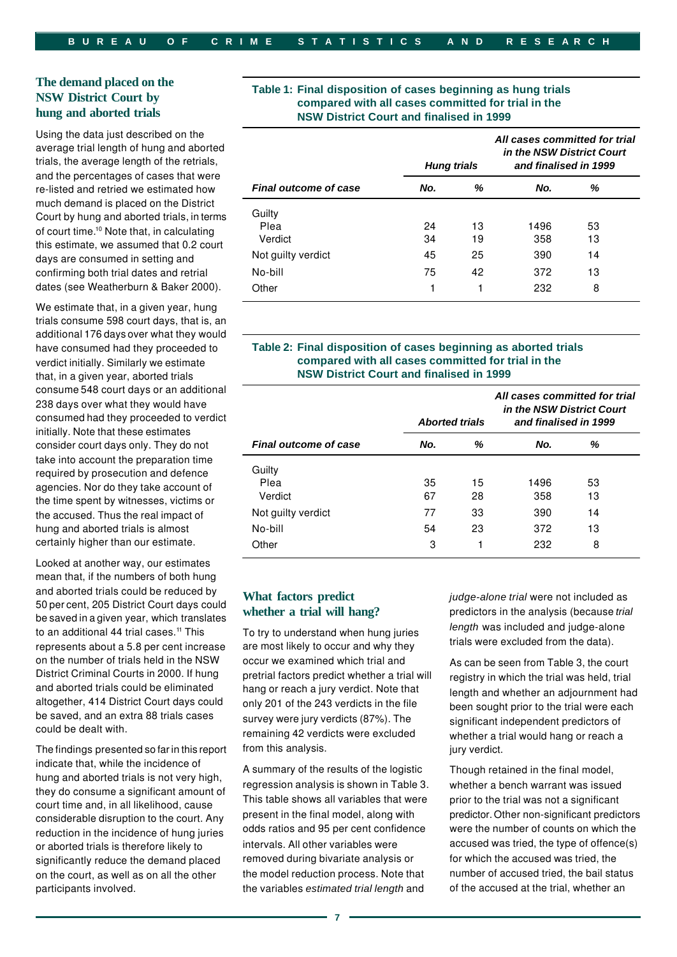Court by hung and aborted trials, in terms Using the data just described on the average trial length of hung and aborted *in the NSW District Court*  trials, the average length of the retrials, and the percentages of cases that were re-listed and retried we estimated how much demand is placed on the District of court time.10 Note that, in calculating this estimate, we assumed that 0.2 court days are consumed in setting and confirming both trial dates and retrial dates (see Weatherburn & Baker 2000).

 additional 176 days over what they would We estimate that, in a given year, hung trials consume 598 court days, that is, an have consumed had they proceeded to verdict initially. Similarly we estimate that, in a given year, aborted trials consume 548 court days or an additional 238 days over what they would have consumed had they proceeded to verdict initially. Note that these estimates consider court days only. They do not take into account the preparation time required by prosecution and defence agencies. Nor do they take account of the time spent by witnesses, victims or the accused. Thus the real impact of hung and aborted trials is almost certainly higher than our estimate.

 50 per cent, 205 District Court days could be saved in a given year, which translates Looked at another way, our estimates mean that, if the numbers of both hung and aborted trials could be reduced by to an additional 44 trial cases.<sup>11</sup> This represents about a 5.8 per cent increase on the number of trials held in the NSW District Criminal Courts in 2000. If hung and aborted trials could be eliminated altogether, 414 District Court days could be saved, and an extra 88 trials cases could be dealt with.

 The findings presented so far in this report indicate that, while the incidence of hung and aborted trials is not very high, they do consume a significant amount of court time and, in all likelihood, cause considerable disruption to the court. Any reduction in the incidence of hung juries or aborted trials is therefore likely to significantly reduce the demand placed on the court, as well as on all the other participants involved.

# Table 1: Final disposition of cases beginning as hung trials<br>NSW District Court by<br>hung and aborted trials<br>NSW District Court and finalised in 1999

|                              | <b>Hung trials</b> |          |             | All cases committed for trial<br>in the NSW District Court<br>and finalised in 1999 |
|------------------------------|--------------------|----------|-------------|-------------------------------------------------------------------------------------|
| <b>Final outcome of case</b> | No.                | %        | No.         | %                                                                                   |
| Guilty<br>Plea<br>Verdict    | 24<br>34           | 13<br>19 | 1496<br>358 | 53<br>13                                                                            |
| Not guilty verdict           | 45                 | 25       | 390         | 14                                                                                  |
| No-bill                      | 75                 | 42       | 372         | 13                                                                                  |
| Other                        | 1                  | 1        | 232         | 8                                                                                   |

#### **Table 2: Final disposition of cases beginning as aborted trials compared with all cases committed for trial in the NSW District Court and finalised in 1999**

|                              | <b>Aborted trials</b> |    | All cases committed for trial<br>in the NSW District Court<br>and finalised in 1999 |    |
|------------------------------|-----------------------|----|-------------------------------------------------------------------------------------|----|
| <b>Final outcome of case</b> | No.                   | %  | No.                                                                                 | %  |
| Guilty                       |                       |    |                                                                                     |    |
| Plea                         | 35                    | 15 | 1496                                                                                | 53 |
| Verdict                      | 67                    | 28 | 358                                                                                 | 13 |
| Not guilty verdict           | 77                    | 33 | 390                                                                                 | 14 |
| No-bill                      | 54                    | 23 | 372                                                                                 | 13 |
| Other                        | 3                     | 1  | 232                                                                                 | 8  |

# **What factors predict whether a trial will hang?**

To try to understand when hung juries are most likely to occur and why they occur we examined which trial and pretrial factors predict whether a trial will hang or reach a jury verdict. Note that only 201 of the 243 verdicts in the file survey were jury verdicts (87%). The remaining 42 verdicts were excluded from this analysis.

A summary of the results of the logistic regression analysis is shown in Table 3. This table shows all variables that were present in the final model, along with odds ratios and 95 per cent confidence intervals. All other variables were removed during bivariate analysis or the model reduction process. Note that the variables *estimated trial length* and

*judge-alone trial* were not included as predictors in the analysis (because *trial length* was included and judge-alone trials were excluded from the data).

As can be seen from Table 3, the court registry in which the trial was held, trial length and whether an adjournment had been sought prior to the trial were each significant independent predictors of whether a trial would hang or reach a jury verdict.

Though retained in the final model, whether a bench warrant was issued prior to the trial was not a significant predictor. Other non-significant predictors were the number of counts on which the accused was tried, the type of offence(s) for which the accused was tried, the number of accused tried, the bail status of the accused at the trial, whether an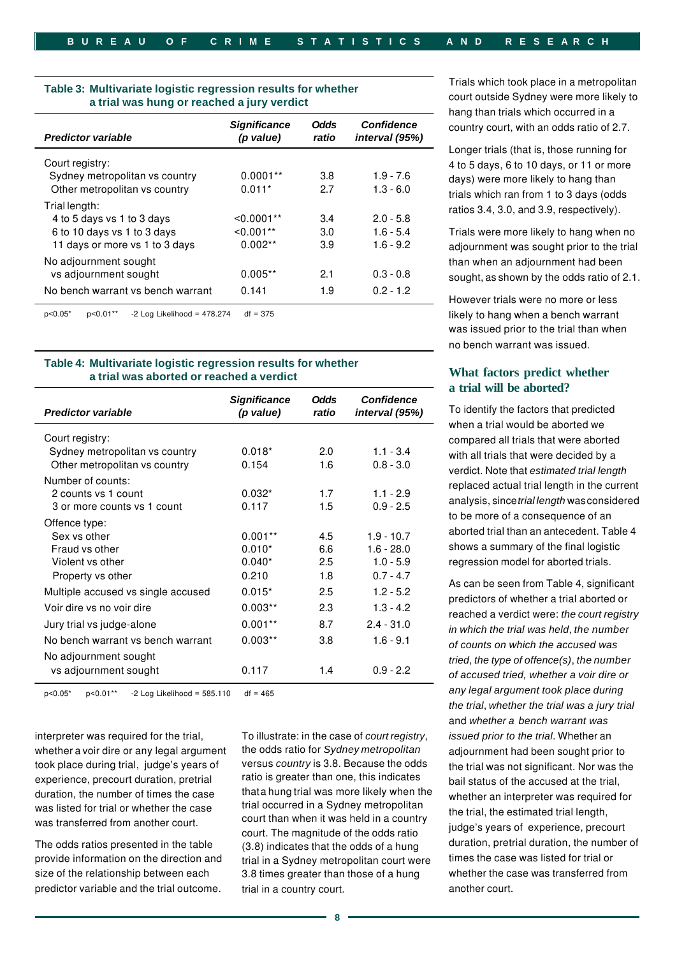| Table 3: Multivariate logistic regression results for whether |
|---------------------------------------------------------------|
| a trial was hung or reached a jury verdict                    |

| <b>Predictor variable</b>         | <b>Significance</b><br>(p value) | <b>Odds</b><br>ratio | <b>Confidence</b><br>interval (95%) |
|-----------------------------------|----------------------------------|----------------------|-------------------------------------|
| Court registry:                   |                                  |                      |                                     |
| Sydney metropolitan vs country    | $0.0001**$                       | 3.8                  | $1.9 - 7.6$                         |
| Other metropolitan vs country     | $0.011*$                         | 2.7                  | $1.3 - 6.0$                         |
| Trial length:                     |                                  |                      |                                     |
| 4 to 5 days vs 1 to 3 days        | $< 0.0001$ **                    | 3.4                  | $2.0 - 5.8$                         |
| 6 to 10 days vs 1 to 3 days       | $< 0.001**$                      | 3.0                  | $1.6 - 5.4$                         |
| 11 days or more vs 1 to 3 days    | $0.002**$                        | 3.9                  | $1.6 - 9.2$                         |
| No adjournment sought             |                                  |                      |                                     |
| vs adjournment sought             | $0.005**$                        | 2.1                  | $0.3 - 0.8$                         |
| No bench warrant vs bench warrant | 0.141                            | 1.9                  | $0.2 - 1.2$                         |
|                                   |                                  |                      |                                     |

#### **Table 4: Multivariate logistic regression results for whether a trial was aborted or reached a verdict**

| <b>Predictor variable</b>          | <b>Significance</b><br>(p value) | <b>Odds</b><br>ratio | <b>Confidence</b><br>interval (95%) |
|------------------------------------|----------------------------------|----------------------|-------------------------------------|
| Court registry:                    |                                  |                      |                                     |
| Sydney metropolitan vs country     | $0.018*$                         | 2.0                  | $1.1 - 3.4$                         |
| Other metropolitan vs country      | 0.154                            | 1.6                  | $0.8 - 3.0$                         |
| Number of counts:                  |                                  |                      |                                     |
| 2 counts vs 1 count                | $0.032*$                         | 1.7                  | $1.1 - 2.9$                         |
| 3 or more counts vs 1 count        | 0.117                            | 1.5                  | $0.9 - 2.5$                         |
| Offence type:                      |                                  |                      |                                     |
| Sex vs other                       | $0.001**$                        | 4.5                  | $1.9 - 10.7$                        |
| Fraud vs other                     | $0.010*$                         | 66                   | $1.6 - 28.0$                        |
| Violent vs other                   | $0.040*$                         | 2.5                  | $1.0 - 5.9$                         |
| Property vs other                  | 0.210                            | 1.8                  | $0.7 - 4.7$                         |
| Multiple accused vs single accused | $0.015*$                         | 2.5                  | $1.2 - 5.2$                         |
| Voir dire vs no voir dire          | $0.003**$                        | 23                   | $1.3 - 4.2$                         |
| Jury trial vs judge-alone          | $0.001**$                        | 8.7                  | $2.4 - 31.0$                        |
| No bench warrant vs bench warrant  | $0.003**$                        | 3.8                  | $1.6 - 9.1$                         |
| No adjournment sought              |                                  |                      |                                     |
| vs adjournment sought              | 0.117                            | 1.4                  | $0.9 - 2.2$                         |

 $p < 0.05^*$   $p < 0.01^{**}$  -2 Log Likelihood = 585.110  $df = 465$ 

 whether a voir dire or any legal argument interpreter was required for the trial, took place during trial, judge's years of experience, precourt duration, pretrial duration, the number of times the case was listed for trial or whether the case was transferred from another court.

The odds ratios presented in the table provide information on the direction and size of the relationship between each predictor variable and the trial outcome.

 thata hung trial was more likely when the To illustrate: in the case of *court registry*, the odds ratio for *Sydney metropolitan*  versus *country* is 3.8. Because the odds ratio is greater than one, this indicates trial occurred in a Sydney metropolitan court than when it was held in a country court. The magnitude of the odds ratio (3.8) indicates that the odds of a hung trial in a Sydney metropolitan court were 3.8 times greater than those of a hung trial in a country court.

Trials which took place in a metropolitan court outside Sydney were more likely to hang than trials which occurred in a country court, with an odds ratio of 2.7.

Longer trials (that is, those running for 4 to 5 days, 6 to 10 days, or 11 or more days) were more likely to hang than trials which ran from 1 to 3 days (odds ratios 3.4, 3.0, and 3.9, respectively).

 sought, as shown by the odds ratio of 2.1. Trials were more likely to hang when no adjournment was sought prior to the trial than when an adjournment had been

However trials were no more or less  $p<0.05^*$   $p<0.01^{**}$  -2 Log Likelihood = 478.274 df = 375 df = 375 was issued prior to the trial than when no bench warrant was issued.

# **What factors predict whether a trial will be aborted?**

 analysis, since*trial length* wasconsidered To identify the factors that predicted when a trial would be aborted we compared all trials that were aborted with all trials that were decided by a verdict. Note that *estimated trial length*  replaced actual trial length in the current to be more of a consequence of an aborted trial than an antecedent. Table 4 shows a summary of the final logistic regression model for aborted trials.

As can be seen from Table 4, significant predictors of whether a trial aborted or reached a verdict were: *the court registry in which the trial was held*, *the number of counts on which the accused was tried*, *the type of offence(s)*, *the number of accused tried, whether a voir dire or any legal argument took place during the trial*, *whether the trial was a jury trial*  and *whether a bench warrant was issued prior to the trial*. Whether an adjournment had been sought prior to the trial was not significant. Nor was the bail status of the accused at the trial, whether an interpreter was required for the trial, the estimated trial length, judge's years of experience, precourt duration, pretrial duration, the number of times the case was listed for trial or whether the case was transferred from another court.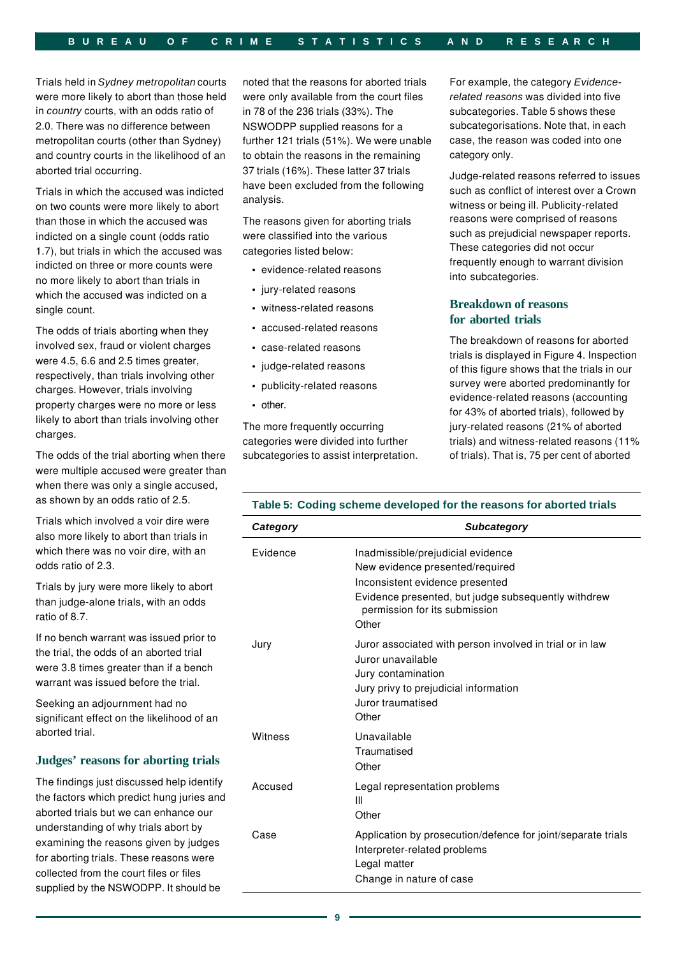Trials held in *Sydney metropolitan* courts were more likely to abort than those held in *country* courts, with an odds ratio of 2.0. There was no difference between metropolitan courts (other than Sydney) and country courts in the likelihood of an aborted trial occurring.

Trials in which the accused was indicted on two counts were more likely to abort than those in which the accused was indicted on a single count (odds ratio 1.7), but trials in which the accused was indicted on three or more counts were no more likely to abort than trials in which the accused was indicted on a single count.

The odds of trials aborting when they involved sex, fraud or violent charges were 4.5, 6.6 and 2.5 times greater, respectively, than trials involving other charges. However, trials involving property charges were no more or less likely to abort than trials involving other charges.

The odds of the trial aborting when there were multiple accused were greater than when there was only a single accused,

Trials which involved a voir dire were also more likely to abort than trials in *Category Subcategory*  which there was no voir dire, with an odds ratio of 2.3.

#### **Judges' reasons for aborting trials**

noted that the reasons for aborted trials were only available from the court files in 78 of the 236 trials (33%). The NSWODPP supplied reasons for a further 121 trials (51%). We were unable to obtain the reasons in the remaining 37 trials (16%). These latter 37 trials have been excluded from the following analysis.

The reasons given for aborting trials were classified into the various categories listed below:

- evidence-related reasons
- jury-related reasons
- witness-related reasons
- accused-related reasons
- case-related reasons
- judge-related reasons
- publicity-related reasons
- other.

The more frequently occurring categories were divided into further subcategories to assist interpretation. For example, the category *Evidencerelated reasons* was divided into five subcategories. Table 5 shows these subcategorisations. Note that, in each case, the reason was coded into one category only.

Judge-related reasons referred to issues such as conflict of interest over a Crown witness or being ill. Publicity-related reasons were comprised of reasons such as prejudicial newspaper reports. These categories did not occur frequently enough to warrant division into subcategories.

# **Breakdown of reasons for aborted trials**

The breakdown of reasons for aborted trials is displayed in Figure 4. Inspection of this figure shows that the trials in our survey were aborted predominantly for evidence-related reasons (accounting for 43% of aborted trials), followed by jury-related reasons (21% of aborted trials) and witness-related reasons (11% of trials). That is, 75 per cent of aborted

# as shown by an odds ratio of 2.5. **Table 5: Coding scheme developed for the reasons for aborted trials**

| Trials which involved a voir dire were<br>also more likely to abort than trials in                                                                                                                           | Category | <b>Subcategory</b>                                                                                                                           |
|--------------------------------------------------------------------------------------------------------------------------------------------------------------------------------------------------------------|----------|----------------------------------------------------------------------------------------------------------------------------------------------|
| which there was no voir dire, with an<br>odds ratio of 2.3.                                                                                                                                                  | Evidence | Inadmissible/prejudicial evidence<br>New evidence presented/required                                                                         |
| Trials by jury were more likely to abort<br>than judge-alone trials, with an odds<br>ratio of 8.7.                                                                                                           |          | Inconsistent evidence presented<br>Evidence presented, but judge subsequently withdrew<br>permission for its submission<br>Other             |
| If no bench warrant was issued prior to<br>the trial, the odds of an aborted trial<br>were 3.8 times greater than if a bench<br>warrant was issued before the trial.                                         | Jury     | Juror associated with person involved in trial or in law<br>Juror unavailable<br>Jury contamination<br>Jury privy to prejudicial information |
| Seeking an adjournment had no<br>significant effect on the likelihood of an                                                                                                                                  |          | Juror traumatised<br>Other                                                                                                                   |
| aborted trial.                                                                                                                                                                                               | Witness  | Unavailable                                                                                                                                  |
| Judges' reasons for aborting trials                                                                                                                                                                          |          | Traumatised<br>Other                                                                                                                         |
| The findings just discussed help identify<br>the factors which predict hung juries and<br>aborted trials but we can enhance our                                                                              | Accused  | Legal representation problems<br>Ш<br>Other                                                                                                  |
| understanding of why trials abort by<br>examining the reasons given by judges<br>for aborting trials. These reasons were<br>collected from the court files or files<br>supplied by the NSWODPP. It should be | Case     | Application by prosecution/defence for joint/separate trials<br>Interpreter-related problems<br>Legal matter<br>Change in nature of case     |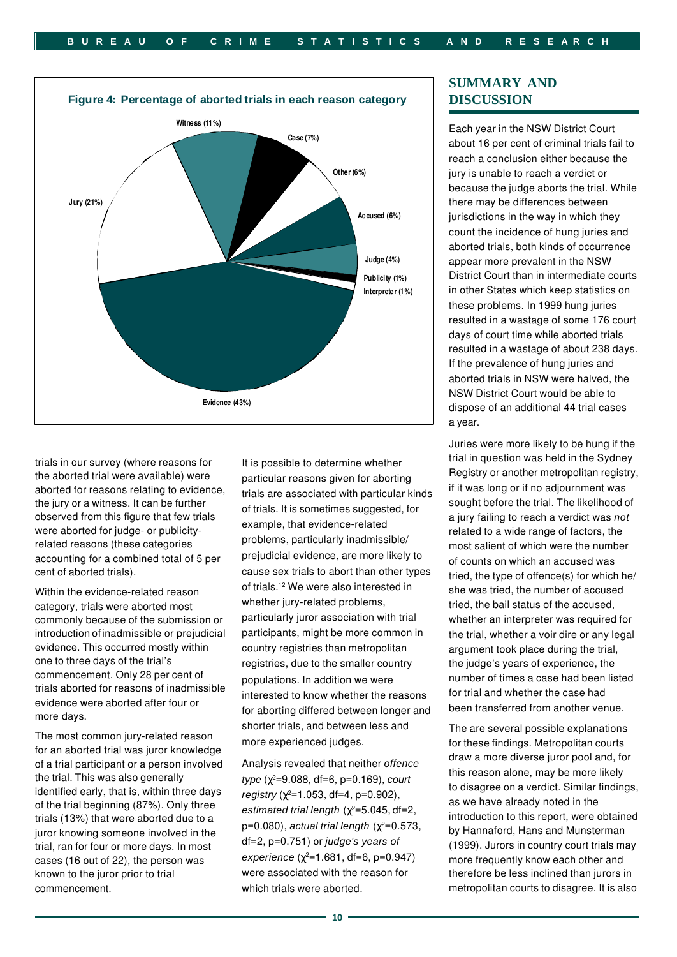

trials in our survey (where reasons for the aborted trial were available) were aborted for reasons relating to evidence, the jury or a witness. It can be further observed from this figure that few trials were aborted for judge- or publicityrelated reasons (these categories accounting for a combined total of 5 per cent of aborted trials).

 introduction ofinadmissible or prejudicial Within the evidence-related reason category, trials were aborted most commonly because of the submission or evidence. This occurred mostly within one to three days of the trial's commencement. Only 28 per cent of trials aborted for reasons of inadmissible evidence were aborted after four or more days.

The most common jury-related reason for an aborted trial was juror knowledge of a trial participant or a person involved the trial. This was also generally identified early, that is, within three days of the trial beginning (87%). Only three trials (13%) that were aborted due to a juror knowing someone involved in the trial, ran for four or more days. In most cases (16 out of 22), the person was known to the juror prior to trial commencement.

It is possible to determine whether particular reasons given for aborting trials are associated with particular kinds of trials. It is sometimes suggested, for example, that evidence-related problems, particularly inadmissible/ prejudicial evidence, are more likely to cause sex trials to abort than other types of trials.12 We were also interested in whether jury-related problems, particularly juror association with trial participants, might be more common in country registries than metropolitan registries, due to the smaller country populations. In addition we were interested to know whether the reasons for aborting differed between longer and shorter trials, and between less and more experienced judges.

Analysis revealed that neither *offence type* ( $\gamma^2$ =9.088, df=6, p=0.169), *court registry* ( $\gamma^2$ =1.053, df=4, p=0.902), *estimated trial length*  $(\chi^2 = 5.045, df = 2,$ p=0.080), *actual trial length (χ<sup>2</sup>=0.573,* df=2, p=0.751) or *judge's years of*   $experience (y^2=1.681, df=6, p=0.947)$ were associated with the reason for which trials were aborted.

# **SUMMARY AND DISCUSSION**

Each year in the NSW District Court about 16 per cent of criminal trials fail to reach a conclusion either because the jury is unable to reach a verdict or because the judge aborts the trial. While there may be differences between jurisdictions in the way in which they count the incidence of hung juries and aborted trials, both kinds of occurrence appear more prevalent in the NSW District Court than in intermediate courts in other States which keep statistics on these problems. In 1999 hung juries resulted in a wastage of some 176 court days of court time while aborted trials resulted in a wastage of about 238 days. If the prevalence of hung juries and aborted trials in NSW were halved, the NSW District Court would be able to dispose of an additional 44 trial cases a year.

Juries were more likely to be hung if the trial in question was held in the Sydney Registry or another metropolitan registry, if it was long or if no adjournment was sought before the trial. The likelihood of a jury failing to reach a verdict was *not*  related to a wide range of factors, the most salient of which were the number of counts on which an accused was tried, the type of offence(s) for which he/ she was tried, the number of accused tried, the bail status of the accused, whether an interpreter was required for the trial, whether a voir dire or any legal argument took place during the trial, the judge's years of experience, the number of times a case had been listed for trial and whether the case had been transferred from another venue.

The are several possible explanations for these findings. Metropolitan courts draw a more diverse juror pool and, for this reason alone, may be more likely to disagree on a verdict. Similar findings, as we have already noted in the introduction to this report, were obtained by Hannaford, Hans and Munsterman (1999). Jurors in country court trials may more frequently know each other and therefore be less inclined than jurors in metropolitan courts to disagree. It is also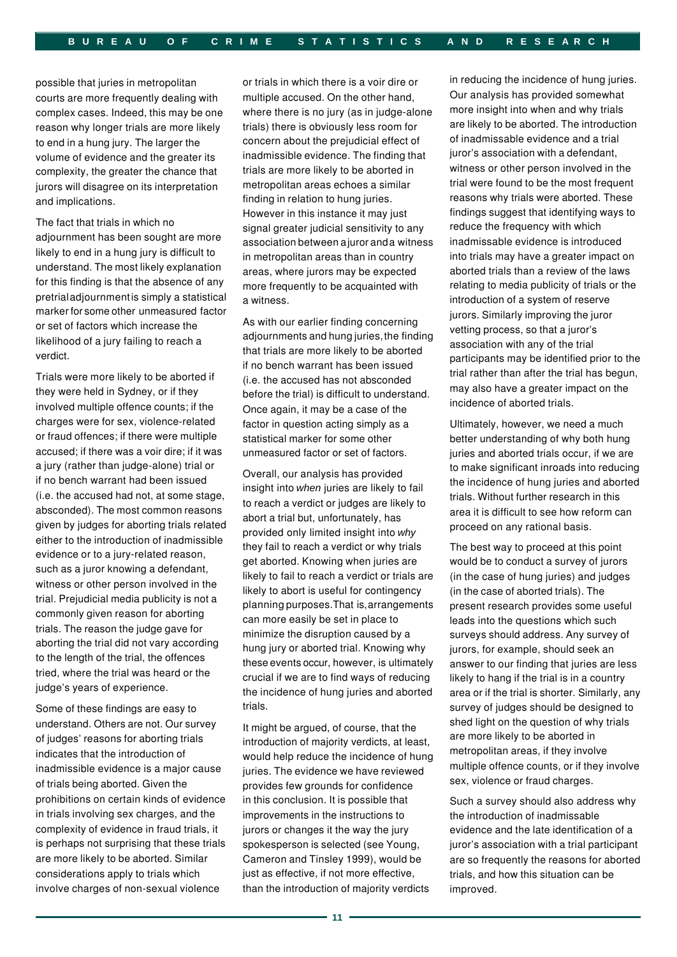possible that juries in metropolitan courts are more frequently dealing with complex cases. Indeed, this may be one reason why longer trials are more likely to end in a hung jury. The larger the volume of evidence and the greater its complexity, the greater the chance that jurors will disagree on its interpretation and implications.

 marker for some other unmeasured factor The fact that trials in which no adjournment has been sought are more likely to end in a hung jury is difficult to understand. The most likely explanation for this finding is that the absence of any pretrialadjournmentis simply a statistical or set of factors which increase the likelihood of a jury failing to reach a verdict.

Trials were more likely to be aborted if they were held in Sydney, or if they involved multiple offence counts; if the charges were for sex, violence-related or fraud offences; if there were multiple accused; if there was a voir dire; if it was a jury (rather than judge-alone) trial or if no bench warrant had been issued (i.e. the accused had not, at some stage, absconded). The most common reasons given by judges for aborting trials related either to the introduction of inadmissible evidence or to a jury-related reason, such as a juror knowing a defendant, witness or other person involved in the trial. Prejudicial media publicity is not a commonly given reason for aborting trials. The reason the judge gave for aborting the trial did not vary according to the length of the trial, the offences tried, where the trial was heard or the judge's years of experience.

Some of these findings are easy to understand. Others are not. Our survey of judges' reasons for aborting trials indicates that the introduction of inadmissible evidence is a major cause of trials being aborted. Given the prohibitions on certain kinds of evidence in trials involving sex charges, and the complexity of evidence in fraud trials, it is perhaps not surprising that these trials are more likely to be aborted. Similar considerations apply to trials which involve charges of non-sexual violence

 association between ajuror anda witness or trials in which there is a voir dire or multiple accused. On the other hand, where there is no jury (as in judge-alone trials) there is obviously less room for concern about the prejudicial effect of inadmissible evidence. The finding that trials are more likely to be aborted in metropolitan areas echoes a similar finding in relation to hung juries. However in this instance it may just signal greater judicial sensitivity to any in metropolitan areas than in country areas, where jurors may be expected more frequently to be acquainted with a witness.

 adjournments and hung juries,the finding As with our earlier finding concerning that trials are more likely to be aborted if no bench warrant has been issued (i.e. the accused has not absconded before the trial) is difficult to understand. Once again, it may be a case of the factor in question acting simply as a statistical marker for some other unmeasured factor or set of factors.

 planning purposes.That is,arrangements these events occur, however, is ultimately Overall, our analysis has provided insight into *when* juries are likely to fail to reach a verdict or judges are likely to abort a trial but, unfortunately, has provided only limited insight into *why*  they fail to reach a verdict or why trials get aborted. Knowing when juries are likely to fail to reach a verdict or trials are likely to abort is useful for contingency can more easily be set in place to minimize the disruption caused by a hung jury or aborted trial. Knowing why crucial if we are to find ways of reducing the incidence of hung juries and aborted trials.

It might be argued, of course, that the introduction of majority verdicts, at least, would help reduce the incidence of hung juries. The evidence we have reviewed provides few grounds for confidence in this conclusion. It is possible that improvements in the instructions to jurors or changes it the way the jury spokesperson is selected (see Young, Cameron and Tinsley 1999), would be just as effective, if not more effective, than the introduction of majority verdicts

in reducing the incidence of hung juries. Our analysis has provided somewhat more insight into when and why trials are likely to be aborted. The introduction of inadmissable evidence and a trial juror's association with a defendant, witness or other person involved in the trial were found to be the most frequent reasons why trials were aborted. These findings suggest that identifying ways to reduce the frequency with which inadmissable evidence is introduced into trials may have a greater impact on aborted trials than a review of the laws relating to media publicity of trials or the introduction of a system of reserve jurors. Similarly improving the juror vetting process, so that a juror's association with any of the trial participants may be identified prior to the trial rather than after the trial has begun, may also have a greater impact on the incidence of aborted trials.

Ultimately, however, we need a much better understanding of why both hung juries and aborted trials occur, if we are to make significant inroads into reducing the incidence of hung juries and aborted trials. Without further research in this area it is difficult to see how reform can proceed on any rational basis.

The best way to proceed at this point would be to conduct a survey of jurors (in the case of hung juries) and judges (in the case of aborted trials). The present research provides some useful leads into the questions which such surveys should address. Any survey of jurors, for example, should seek an answer to our finding that juries are less likely to hang if the trial is in a country area or if the trial is shorter. Similarly, any survey of judges should be designed to shed light on the question of why trials are more likely to be aborted in metropolitan areas, if they involve multiple offence counts, or if they involve sex, violence or fraud charges.

Such a survey should also address why the introduction of inadmissable evidence and the late identification of a juror's association with a trial participant are so frequently the reasons for aborted trials, and how this situation can be improved.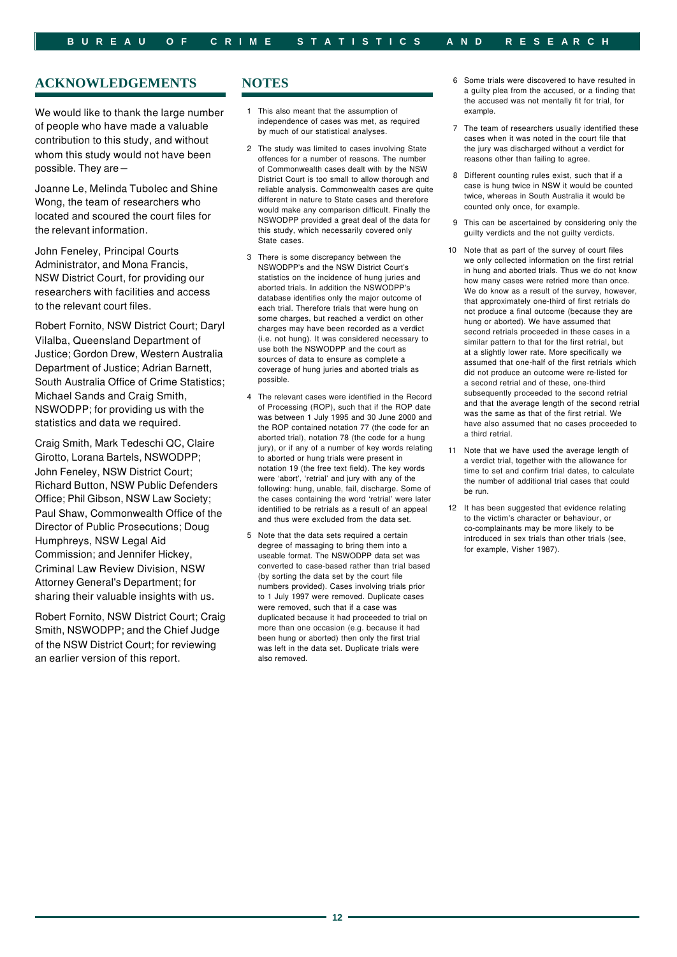# **ACKNOWLEDGEMENTS**

We would like to thank the large number of people who have made a valuable contribution to this study, and without whom this study would not have been possible. They are –

Joanne Le, Melinda Tubolec and Shine Wong, the team of researchers who located and scoured the court files for the relevant information.

John Feneley, Principal Courts Administrator, and Mona Francis, NSW District Court, for providing our researchers with facilities and access to the relevant court files.

Robert Fornito, NSW District Court; Daryl Vilalba, Queensland Department of Justice; Gordon Drew, Western Australia Department of Justice; Adrian Barnett, South Australia Office of Crime Statistics; Michael Sands and Craig Smith, NSWODPP; for providing us with the statistics and data we required.

Craig Smith, Mark Tedeschi QC, Claire Girotto, Lorana Bartels, NSWODPP; John Feneley, NSW District Court; Richard Button, NSW Public Defenders Office; Phil Gibson, NSW Law Society; Paul Shaw, Commonwealth Office of the Director of Public Prosecutions; Doug Humphreys, NSW Legal Aid Commission; and Jennifer Hickey, Criminal Law Review Division, NSW Attorney General's Department; for sharing their valuable insights with us.

Robert Fornito, NSW District Court; Craig Smith, NSWODPP; and the Chief Judge of the NSW District Court; for reviewing an earlier version of this report.

## **NOTES**

- 1 This also meant that the assumption of independence of cases was met, as required by much of our statistical analyses.
- 2 The study was limited to cases involving State offences for a number of reasons. The number of Commonwealth cases dealt with by the NSW District Court is too small to allow thorough and reliable analysis. Commonwealth cases are quite different in nature to State cases and therefore would make any comparison difficult. Finally the NSWODPP provided a great deal of the data for this study, which necessarily covered only State cases.
- 3 There is some discrepancy between the NSWODPP's and the NSW District Court's statistics on the incidence of hung juries and aborted trials. In addition the NSWODPP's database identifies only the major outcome of each trial. Therefore trials that were hung on some charges, but reached a verdict on other charges may have been recorded as a verdict (i.e. not hung). It was considered necessary to use both the NSWODPP and the court as sources of data to ensure as complete a coverage of hung juries and aborted trials as possible.
- 4 The relevant cases were identified in the Record of Processing (ROP), such that if the ROP date was between 1 July 1995 and 30 June 2000 and the ROP contained notation 77 (the code for an aborted trial), notation 78 (the code for a hung jury), or if any of a number of key words relating to aborted or hung trials were present in notation 19 (the free text field). The key words were 'abort', 'retrial' and jury with any of the following: hung, unable, fail, discharge. Some of the cases containing the word 'retrial' were later identified to be retrials as a result of an appeal and thus were excluded from the data set.
- 5 Note that the data sets required a certain degree of massaging to bring them into a useable format. The NSWODPP data set was converted to case-based rather than trial based (by sorting the data set by the court file numbers provided). Cases involving trials prior to 1 July 1997 were removed. Duplicate cases were removed, such that if a case was duplicated because it had proceeded to trial on more than one occasion (e.g. because it had been hung or aborted) then only the first trial was left in the data set. Duplicate trials were also removed.
- 6 Some trials were discovered to have resulted in a guilty plea from the accused, or a finding that the accused was not mentally fit for trial, for example.
- 7 The team of researchers usually identified these cases when it was noted in the court file that the jury was discharged without a verdict for reasons other than failing to agree.
- 8 Different counting rules exist, such that if a case is hung twice in NSW it would be counted twice, whereas in South Australia it would be counted only once, for example.
- 9 This can be ascertained by considering only the guilty verdicts and the not guilty verdicts.
- 10 Note that as part of the survey of court files we only collected information on the first retrial in hung and aborted trials. Thus we do not know how many cases were retried more than once. We do know as a result of the survey, however, that approximately one-third of first retrials do not produce a final outcome (because they are hung or aborted). We have assumed that second retrials proceeded in these cases in a similar pattern to that for the first retrial, but at a slightly lower rate. More specifically we assumed that one-half of the first retrials which did not produce an outcome were re-listed for a second retrial and of these, one-third subsequently proceeded to the second retrial and that the average length of the second retrial was the same as that of the first retrial. We have also assumed that no cases proceeded to a third retrial.
- 11 Note that we have used the average length of a verdict trial, together with the allowance for time to set and confirm trial dates, to calculate the number of additional trial cases that could be run.
- 12 It has been suggested that evidence relating to the victim's character or behaviour, or co-complainants may be more likely to be introduced in sex trials than other trials (see, for example, Visher 1987).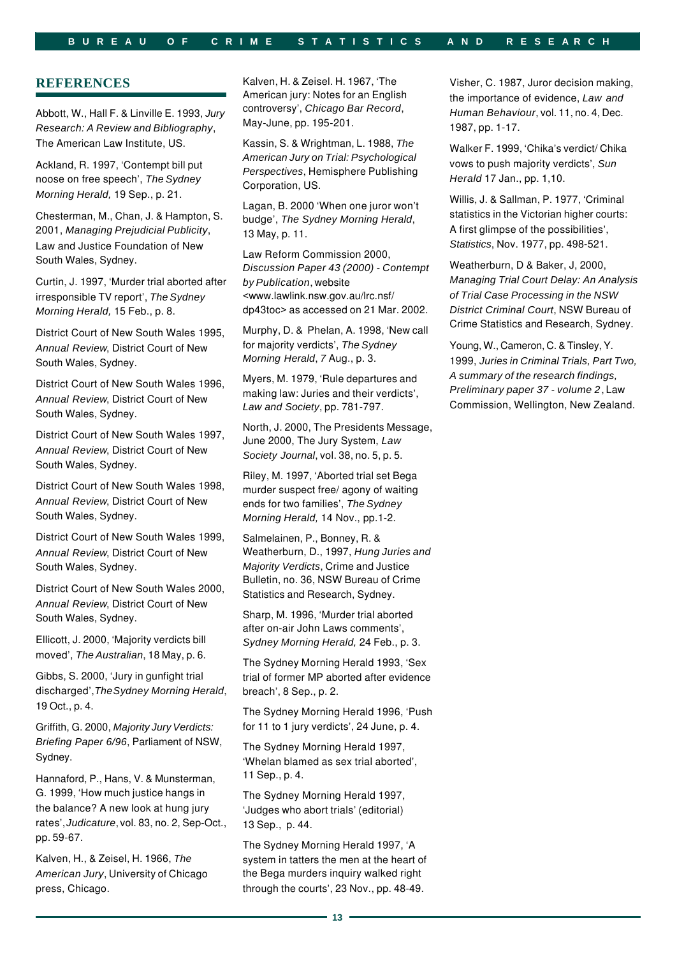#### **B U R E A U O F C R I M E S T A T I S T I C S A N D R E S E A R C H**

# **REFERENCES**

Abbott, W., Hall F. & Linville E. 1993, *Jury Research: A Review and Bibliography*, The American Law Institute, US.

Ackland, R. 1997, 'Contempt bill put noose on free speech', *The Sydney Morning Herald,* 19 Sep., p. 21.

Chesterman, M., Chan, J. & Hampton, S. 2001, *Managing Prejudicial Publicity*, Law and Justice Foundation of New South Wales, Sydney.

Curtin, J. 1997, 'Murder trial aborted after irresponsible TV report', *The Sydney Morning Herald,* 15 Feb., p. 8.

District Court of New South Wales 1995, *Annual Review*, District Court of New South Wales, Sydney.

District Court of New South Wales 1996, *Annual Review*, District Court of New South Wales, Sydney.

District Court of New South Wales 1997, *Annual Review*, District Court of New South Wales, Sydney.

District Court of New South Wales 1998, *Annual Review*, District Court of New South Wales, Sydney.

District Court of New South Wales 1999, *Annual Review*, District Court of New South Wales, Sydney.

District Court of New South Wales 2000, *Annual Review*, District Court of New South Wales, Sydney.

Ellicott, J. 2000, 'Majority verdicts bill moved', *The Australian*, 18 May, p. 6.

Gibbs, S. 2000, 'Jury in gunfight trial discharged',*TheSydney Morning Herald*, 19 Oct., p. 4.

Griffith, G. 2000, *Majority Jury Verdicts: Briefing Paper 6/96*, Parliament of NSW, Sydney.

 rates',*Judicature*, vol. 83, no. 2, Sep-Oct., Hannaford, P., Hans, V. & Munsterman, G. 1999, 'How much justice hangs in the balance? A new look at hung jury pp. 59-67.

Kalven, H., & Zeisel, H. 1966, *The American Jury*, University of Chicago press, Chicago.

Kalven, H. & Zeisel. H. 1967, 'The American jury: Notes for an English controversy', *Chicago Bar Record*, May-June, pp. 195-201.

Kassin, S. & Wrightman, L. 1988, *The American Jury on Trial: Psychological Perspectives*, Hemisphere Publishing Corporation, US.

Lagan, B. 2000 'When one juror won't budge', *The Sydney Morning Herald*, 13 May, p. 11.

Law Reform Commission 2000, *Discussion Paper 43 (2000) - Contempt by Publication*, website <www.lawlink.nsw.gov.au/lrc.nsf/ dp43toc> as accessed on 21 Mar. 2002.

Murphy, D. & Phelan, A. 1998, 'New call for majority verdicts', *The Sydney Morning Herald*, *7* Aug., p. 3.

Myers, M. 1979, 'Rule departures and making law: Juries and their verdicts', *Law and Society*, pp. 781-797.

North, J. 2000, The Presidents Message, June 2000, The Jury System, *Law Society Journal*, vol. 38, no. 5, p. 5.

Riley, M. 1997, 'Aborted trial set Bega murder suspect free/ agony of waiting ends for two families', *The Sydney Morning Herald,* 14 Nov., pp.1-2.

Salmelainen, P., Bonney, R. & Weatherburn, D., 1997, *Hung Juries and Majority Verdicts*, Crime and Justice Bulletin, no. 36, NSW Bureau of Crime Statistics and Research, Sydney.

Sharp, M. 1996, 'Murder trial aborted after on-air John Laws comments', *Sydney Morning Herald,* 24 Feb., p. 3.

The Sydney Morning Herald 1993, 'Sex trial of former MP aborted after evidence breach', 8 Sep., p. 2.

The Sydney Morning Herald 1996, 'Push for 11 to 1 jury verdicts', 24 June, p. 4.

The Sydney Morning Herald 1997, 'Whelan blamed as sex trial aborted', 11 Sep., p. 4.

The Sydney Morning Herald 1997, 'Judges who abort trials' (editorial) 13 Sep., p. 44.

The Sydney Morning Herald 1997, 'A system in tatters the men at the heart of the Bega murders inquiry walked right through the courts', 23 Nov., pp. 48-49.

Visher, C. 1987, Juror decision making, the importance of evidence, *Law and Human Behaviour*, vol. 11, no. 4, Dec. 1987, pp. 1-17.

Walker F. 1999, 'Chika's verdict/ Chika vows to push majority verdicts', *Sun Herald* 17 Jan., pp. 1,10.

Willis, J. & Sallman, P. 1977, 'Criminal statistics in the Victorian higher courts: A first glimpse of the possibilities', *Statistics*, Nov. 1977, pp. 498-521.

Weatherburn, D & Baker, J, 2000, *Managing Trial Court Delay: An Analysis of Trial Case Processing in the NSW District Criminal Court*, NSW Bureau of Crime Statistics and Research, Sydney.

Young, W., Cameron, C. & Tinsley, Y. 1999, *Juries in Criminal Trials, Part Two, A summary of the research findings, Preliminary paper 37 - volume 2*, Law Commission, Wellington, New Zealand.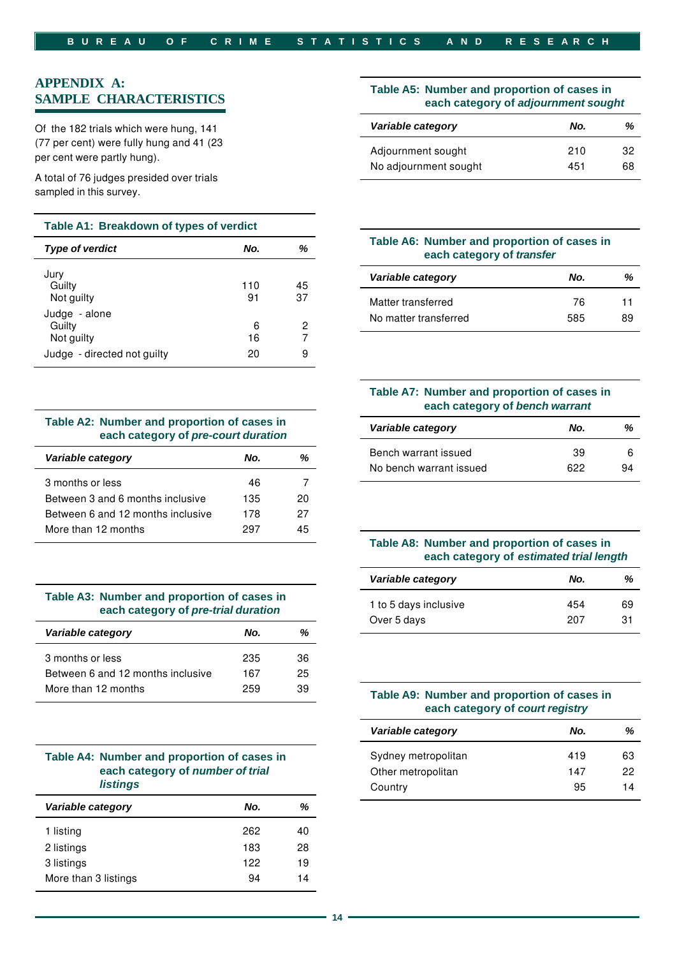# **APPENDIX A: SAMPLE CHARACTERISTICS**

Of the 182 trials which were hung, 141 (77 per cent) were fully hung and 41 (23 per cent were partly hung).

A total of 76 judges presided over trials sampled in this survey.

#### **Table A1: Breakdown of types of verdict**

| <b>Type of verdict</b>                                               | No.           | ℅           |
|----------------------------------------------------------------------|---------------|-------------|
| Jury<br>Guilty<br>Not guilty                                         | 110<br>91     | 45<br>37    |
| Judge - alone<br>Guilty<br>Not guilty<br>Judge - directed not guilty | 6<br>16<br>20 | 2<br>7<br>9 |

## **Table A2: Number and proportion of cases in each category of** *pre-court duration*

| Variable category                 | No. | %  |
|-----------------------------------|-----|----|
| 3 months or less                  | 46  |    |
| Between 3 and 6 months inclusive  | 135 | 20 |
| Between 6 and 12 months inclusive | 178 | 27 |
| More than 12 months               | 297 | 45 |
|                                   |     |    |

| Table A3: Number and proportion of cases in |  |  |
|---------------------------------------------|--|--|
| each category of pre-trial duration         |  |  |

| Variable category                                                            | No.               | %              |
|------------------------------------------------------------------------------|-------------------|----------------|
| 3 months or less<br>Between 6 and 12 months inclusive<br>More than 12 months | 235<br>167<br>259 | 36<br>25<br>39 |
|                                                                              |                   |                |

| Table A4: Number and proportion of cases in |
|---------------------------------------------|
| each category of number of trial            |
| <i>listings</i>                             |

| Variable category    | No. | ℅  |
|----------------------|-----|----|
| 1 listing            | 262 | 40 |
| 2 listings           | 183 | 28 |
| 3 listings           | 122 | 19 |
| More than 3 listings | 94  | 14 |
|                      |     |    |

#### **Table A5: Number and proportion of cases in each category of** *adjournment sought*

| Variable category     | No. | %  |
|-----------------------|-----|----|
| Adjournment sought    | 210 | 32 |
| No adjournment sought | 451 | 68 |

# **Table A6: Number and proportion of cases in each category of** *transfer*

| Variable category     | No. | %  |
|-----------------------|-----|----|
| Matter transferred    | 76  | 11 |
| No matter transferred | 585 | 89 |

# **Table A7: Number and proportion of cases in each category of** *bench warrant*

| Variable category       | No. | %  |
|-------------------------|-----|----|
| Bench warrant issued    | 39  | 6  |
| No bench warrant issued | 622 | 94 |

# **Table A8: Number and proportion of cases in each category of** *estimated trial length*

| Variable category     | No. | %  |
|-----------------------|-----|----|
| 1 to 5 days inclusive | 454 | 69 |
| Over 5 days           | 207 | 31 |

## Table A9: Number and proportion of cases in **each category of** *court registry*

| Variable category   | No. | %  |
|---------------------|-----|----|
| Sydney metropolitan | 419 | 63 |
| Other metropolitan  | 147 | 22 |
| Country             | 95  | 14 |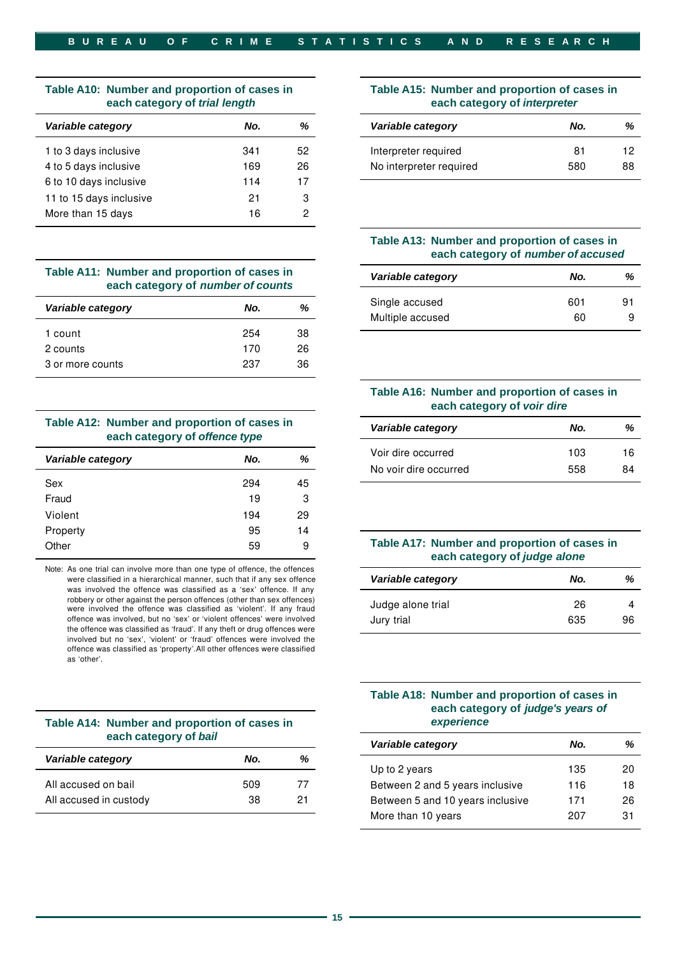# **Table A10: Number and proportion of cases in Table A15: Number and proportion of cases in**

| Variable category       | No. | ℅  |
|-------------------------|-----|----|
| 1 to 3 days inclusive   | 341 | 52 |
| 4 to 5 days inclusive   | 169 | 26 |
| 6 to 10 days inclusive  | 114 | 17 |
| 11 to 15 days inclusive | 21  | З  |
| More than 15 days       | 16  | 2  |
|                         |     |    |

#### Table A11: Number and proportion of cases in **each category of** *number of counts*

| Variable category | No. | %  |
|-------------------|-----|----|
| 1 count           | 254 | 38 |
| 2 counts          | 170 | 26 |
| 3 or more counts  | 237 | 36 |
|                   |     |    |

#### Table A12: Number and proportion of cases in **each category of** *offence type*

| Variable category | No. | %  |
|-------------------|-----|----|
| Sex               | 294 | 45 |
| Fraud             | 19  | 3  |
| Violent           | 194 | 29 |
| Property          | 95  | 14 |
| Other             | 59  | 9  |

Note: As one trial can involve more than one type of offence, the offences were classified in a hierarchical manner, such that if any sex offence was involved the offence was classified as a 'sex' offence. If any robbery or other against the person offences (other than sex offences) were involved the offence was classified as 'violent'. If any fraud offence was involved, but no 'sex' or 'violent offences' were involved the offence was classified as 'fraud'. If any theft or drug offences were involved but no 'sex', 'violent' or 'fraud' offences were involved the offence was classified as 'property'.All other offences were classified as 'other'.

| Table A14: Number and proportion of cases in |
|----------------------------------------------|
| each category of bail                        |

| Variable category      | No. | %  |
|------------------------|-----|----|
| All accused on bail    | 509 | 77 |
| All accused in custody | 38. | 21 |

# **each category of** *trial length* **each category of** *interpreter*

| Variable category     | No. | %  | Variable category       | No. | %  |
|-----------------------|-----|----|-------------------------|-----|----|
| 1 to 3 days inclusive | 341 | 52 | Interpreter required    | 81  | 12 |
| 4 to 5 days inclusive | 169 | 26 | No interpreter required | 580 | 88 |
|                       |     |    |                         |     |    |

## **Table A13: Number and proportion of cases in each category of** *number of accused*

|                   | Table A11: Number and proportion of cases in<br>each category of number of counts | Variable category | No. | %  |
|-------------------|-----------------------------------------------------------------------------------|-------------------|-----|----|
| Variable category | %<br>No.                                                                          | Single accused    | 601 | 91 |
|                   |                                                                                   | Multiple accused  | 60  |    |

## **Table A16: Number and proportion of cases in each category of** *voir dire*

| Table A12: Number and proportion of cases in<br>each category of offence type |          |  | Variable category     | No.        | %        |
|-------------------------------------------------------------------------------|----------|--|-----------------------|------------|----------|
| Variable category                                                             | %<br>No. |  | Voir dire occurred    | 103<br>558 | 16<br>84 |
|                                                                               |          |  | No voir dire occurred |            |          |

# Table A17: Number and proportion of cases in **each category of** *judge alone*

| Variable category | No. | %  |
|-------------------|-----|----|
| Judge alone trial | 26  |    |
| Jury trial        | 635 | 96 |

## **Table A18: Number and proportion of cases in each category of** *judge's years of*   $experience$

| each category of bail        |     | Variable category | No.                              | %   |    |
|------------------------------|-----|-------------------|----------------------------------|-----|----|
| Variable category            | No. | %                 | Up to 2 years                    | 135 | 20 |
| All accused on bail          | 509 | 77                | Between 2 and 5 years inclusive  | 116 | 18 |
| All accused in custody<br>38 |     | 21                | Between 5 and 10 years inclusive | 171 | 26 |
|                              |     |                   | More than 10 years               | 207 | 31 |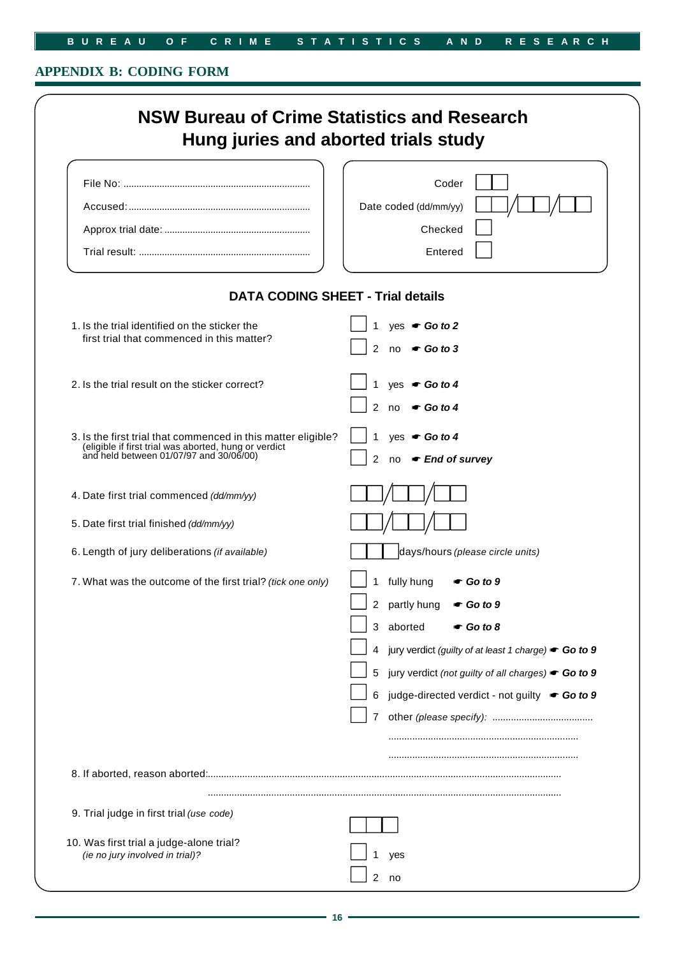# **B U R E A U O F C R I M E S T A T I S T I C S A N D R E S E A R C H**

# **APPENDIX B: CODING FORM**

|                                                                                                                                                                   | Coder                                                            |
|-------------------------------------------------------------------------------------------------------------------------------------------------------------------|------------------------------------------------------------------|
|                                                                                                                                                                   | Date coded (dd/mm/yy)                                            |
|                                                                                                                                                                   | Checked                                                          |
|                                                                                                                                                                   | Entered                                                          |
| <b>DATA CODING SHEET - Trial details</b>                                                                                                                          |                                                                  |
| 1. Is the trial identified on the sticker the                                                                                                                     | yes $\bullet$ Go to 2                                            |
| first trial that commenced in this matter?                                                                                                                        | $\mathcal{P}$<br>$no \in Go \ to \ 3$                            |
|                                                                                                                                                                   |                                                                  |
| 2. Is the trial result on the sticker correct?                                                                                                                    | yes $\bullet$ Go to 4<br>$\mathcal{P}$<br>no $\bullet$ Go to 4   |
|                                                                                                                                                                   |                                                                  |
| 3. Is the first trial that commenced in this matter eligible?<br>(eligible if first trial was aborted, hung or verdict<br>and held between 01/07/97 and 30/06/00) | $ves$ $\bullet$ Go to 4                                          |
|                                                                                                                                                                   | no <del>■ End</del> of survey<br>2                               |
| 4. Date first trial commenced (dd/mm/yy)                                                                                                                          |                                                                  |
| 5. Date first trial finished (dd/mm/yy)                                                                                                                           |                                                                  |
| 6. Length of jury deliberations (if available)                                                                                                                    | days/hours (please circle units)                                 |
|                                                                                                                                                                   |                                                                  |
| 7. What was the outcome of the first trial? (tick one only)                                                                                                       | fully hung<br>1.<br>$\bullet$ Go to 9                            |
|                                                                                                                                                                   | $\overline{c}$<br>partly hung<br>$\bullet$ Go to 9               |
|                                                                                                                                                                   | aborted<br>3<br>$\bullet$ Go to 8                                |
|                                                                                                                                                                   | jury verdict (guilty of at least 1 charge) <b>c Go to 9</b><br>4 |
|                                                                                                                                                                   | jury verdict (not guilty of all charges) Go to 9<br>5            |
|                                                                                                                                                                   | judge-directed verdict - not guilty Go to 9<br>6                 |
|                                                                                                                                                                   | $\overline{7}$                                                   |
|                                                                                                                                                                   |                                                                  |
|                                                                                                                                                                   |                                                                  |
|                                                                                                                                                                   |                                                                  |
| 9. Trial judge in first trial (use code)                                                                                                                          |                                                                  |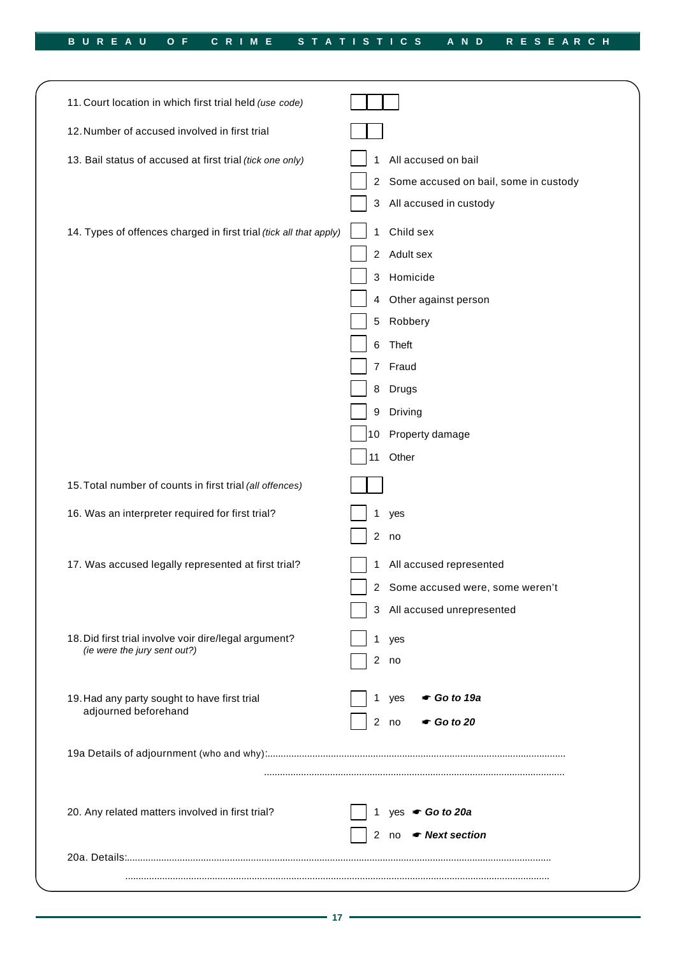| 11. Court location in which first trial held (use code)            |                                            |
|--------------------------------------------------------------------|--------------------------------------------|
| 12. Number of accused involved in first trial                      |                                            |
| 13. Bail status of accused at first trial (tick one only)          | All accused on bail<br>1                   |
|                                                                    | 2 Some accused on bail, some in custody    |
|                                                                    | 3 All accused in custody                   |
| 14. Types of offences charged in first trial (tick all that apply) | Child sex<br>1                             |
|                                                                    | 2 Adult sex                                |
|                                                                    | Homicide<br>3                              |
|                                                                    | Other against person<br>4                  |
|                                                                    | 5 Robbery                                  |
|                                                                    | Theft<br>6                                 |
|                                                                    | 7 Fraud                                    |
|                                                                    | <b>Drugs</b><br>8                          |
|                                                                    | Driving<br>9                               |
|                                                                    | 10 Property damage                         |
|                                                                    | Other<br>11                                |
| 15. Total number of counts in first trial (all offences)           |                                            |
| 16. Was an interpreter required for first trial?                   | yes<br>1                                   |
|                                                                    | 2 no                                       |
| 17. Was accused legally represented at first trial?                | All accused represented<br>1               |
|                                                                    | 2 Some accused were, some weren't          |
|                                                                    | All accused unrepresented                  |
| 18. Did first trial involve voir dire/legal argument?              | yes                                        |
| (ie were the jury sent out?)                                       | 2 no                                       |
| 19. Had any party sought to have first trial                       | $\bullet$ Go to 19a<br>yes                 |
| adjourned beforehand                                               | 2 <sup>7</sup><br>$\bullet$ Go to 20<br>no |
|                                                                    |                                            |
|                                                                    |                                            |
| 20. Any related matters involved in first trial?                   | yes Go to 20a                              |
|                                                                    | 2 no • Next section                        |
|                                                                    |                                            |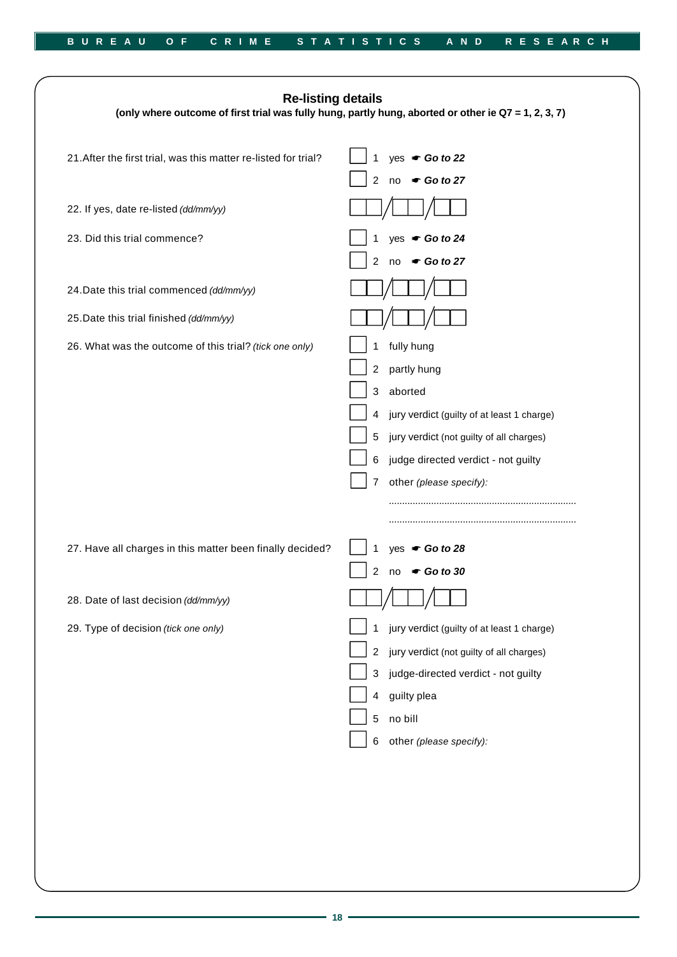| <b>Re-listing details</b><br>(only where outcome of first trial was fully hung, partly hung, aborted or other ie Q7 = 1, 2, 3, 7) |                                                              |  |
|-----------------------------------------------------------------------------------------------------------------------------------|--------------------------------------------------------------|--|
| 21. After the first trial, was this matter re-listed for trial?                                                                   | yes Go to 22<br>$\mathbf{1}$<br>2 no Go to 27                |  |
| 22. If yes, date re-listed (dd/mm/yy)                                                                                             |                                                              |  |
| 23. Did this trial commence?                                                                                                      | yes $\bullet$ Go to 24<br>no Go to 27<br>$\overline{2}$      |  |
| 24. Date this trial commenced (dd/mm/yy)                                                                                          |                                                              |  |
| 25. Date this trial finished (dd/mm/yy)                                                                                           |                                                              |  |
| 26. What was the outcome of this trial? (tick one only)                                                                           | fully hung<br>1                                              |  |
|                                                                                                                                   | partly hung<br>$\overline{c}$                                |  |
|                                                                                                                                   | 3 aborted                                                    |  |
|                                                                                                                                   | jury verdict (guilty of at least 1 charge)<br>4              |  |
|                                                                                                                                   | jury verdict (not guilty of all charges)<br>5                |  |
|                                                                                                                                   | judge directed verdict - not guilty<br>6                     |  |
|                                                                                                                                   | other (please specify):<br>7                                 |  |
|                                                                                                                                   |                                                              |  |
|                                                                                                                                   |                                                              |  |
| 27. Have all charges in this matter been finally decided?                                                                         | yes Go to 28<br>1                                            |  |
|                                                                                                                                   | 2 no Go to 30                                                |  |
| 28. Date of last decision (dd/mm/yy)                                                                                              | — —                                                          |  |
| 29. Type of decision (tick one only)                                                                                              | jury verdict (guilty of at least 1 charge)<br>1              |  |
|                                                                                                                                   | $\boldsymbol{2}$<br>jury verdict (not guilty of all charges) |  |
|                                                                                                                                   | judge-directed verdict - not guilty<br>3                     |  |
|                                                                                                                                   | guilty plea<br>4                                             |  |
|                                                                                                                                   | no bill<br>5                                                 |  |
|                                                                                                                                   | 6<br>other (please specify):                                 |  |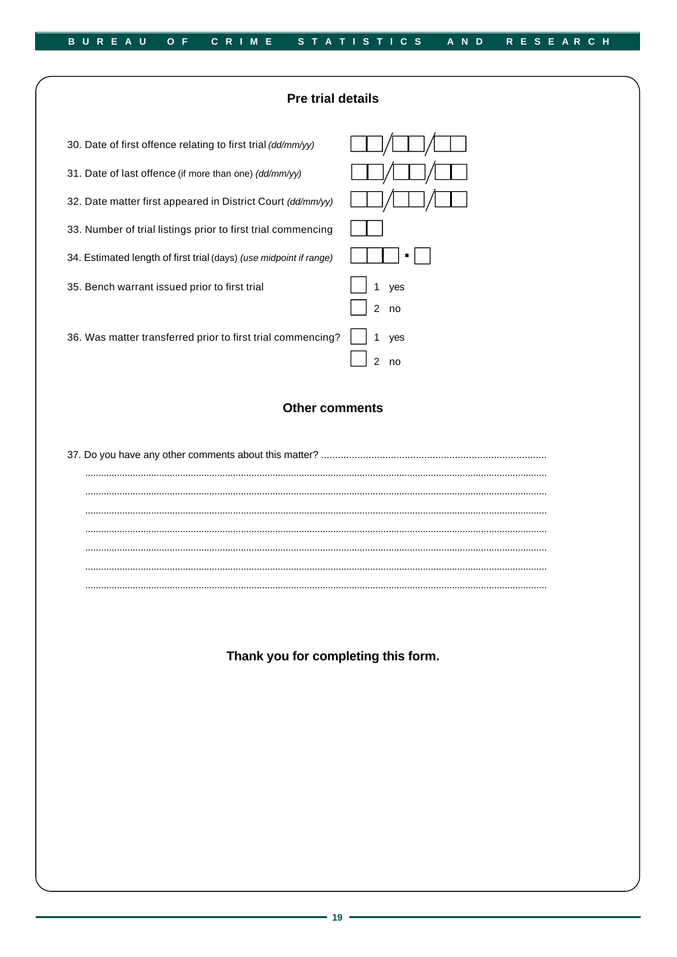

Thank you for completing this form.